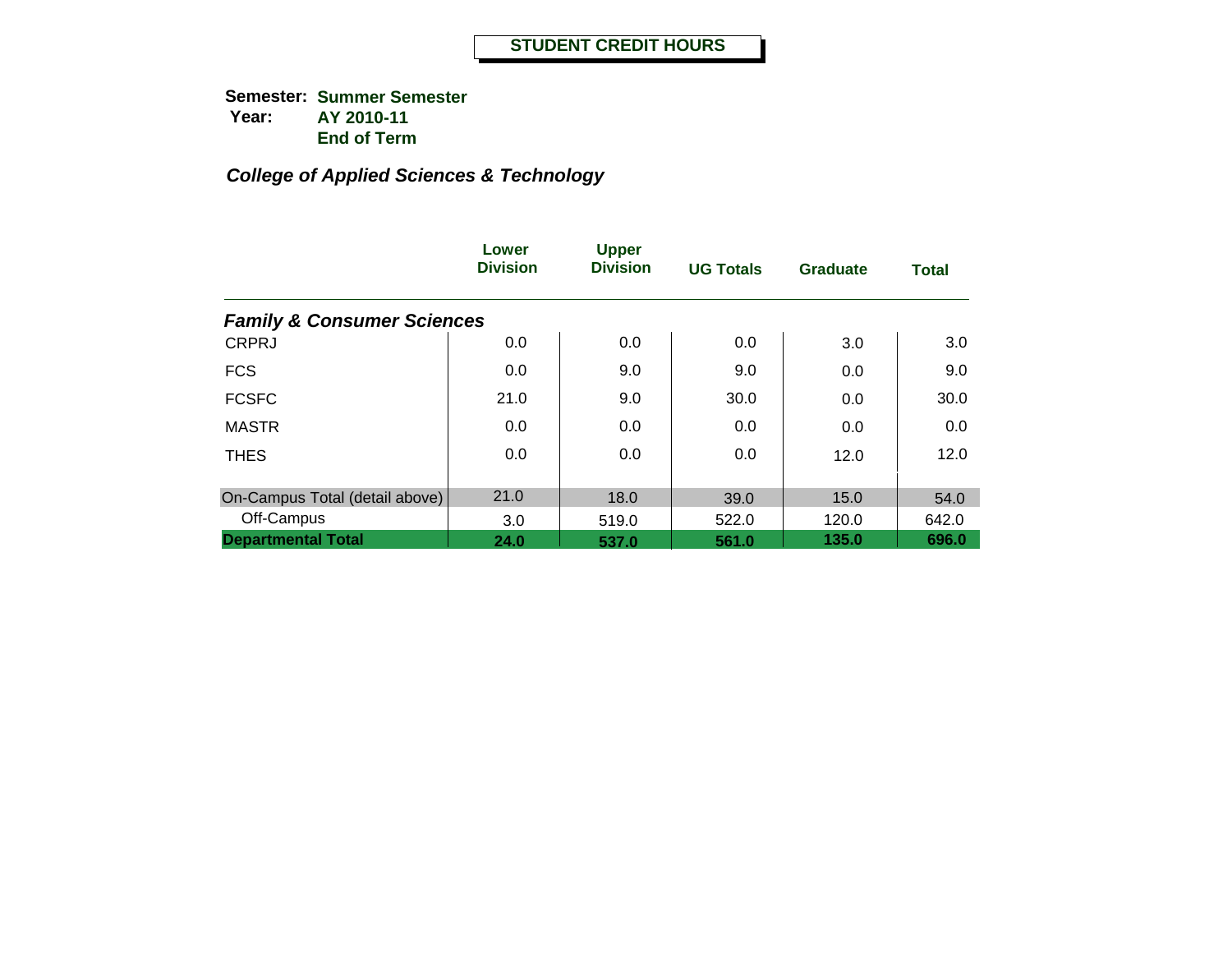|                                       | Lower<br><b>Division</b> | <b>Upper</b><br><b>Division</b> | <b>UG Totals</b> | <b>Graduate</b> | <b>Total</b> |
|---------------------------------------|--------------------------|---------------------------------|------------------|-----------------|--------------|
| <b>Family &amp; Consumer Sciences</b> |                          |                                 |                  |                 |              |
| <b>CRPRJ</b>                          | 0.0                      | 0.0                             | 0.0              | 3.0             | 3.0          |
| <b>FCS</b>                            | 0.0                      | 9.0                             | 9.0              | 0.0             | 9.0          |
| <b>FCSFC</b>                          | 21.0                     | 9.0                             | 30.0             | 0.0             | 30.0         |
| <b>MASTR</b>                          | 0.0                      | 0.0                             | 0.0              | 0.0             | 0.0          |
| <b>THES</b>                           | 0.0                      | 0.0                             | 0.0              | 12.0            | 12.0         |
| On-Campus Total (detail above)        | 21.0                     | 18.0                            | 39.0             | 15.0            | 54.0         |
| Off-Campus                            | 3.0                      | 519.0                           | 522.0            | 120.0           | 642.0        |
| <b>Departmental Total</b>             | 24.0                     | 537.0                           | 561.0            | 135.0           | 696.0        |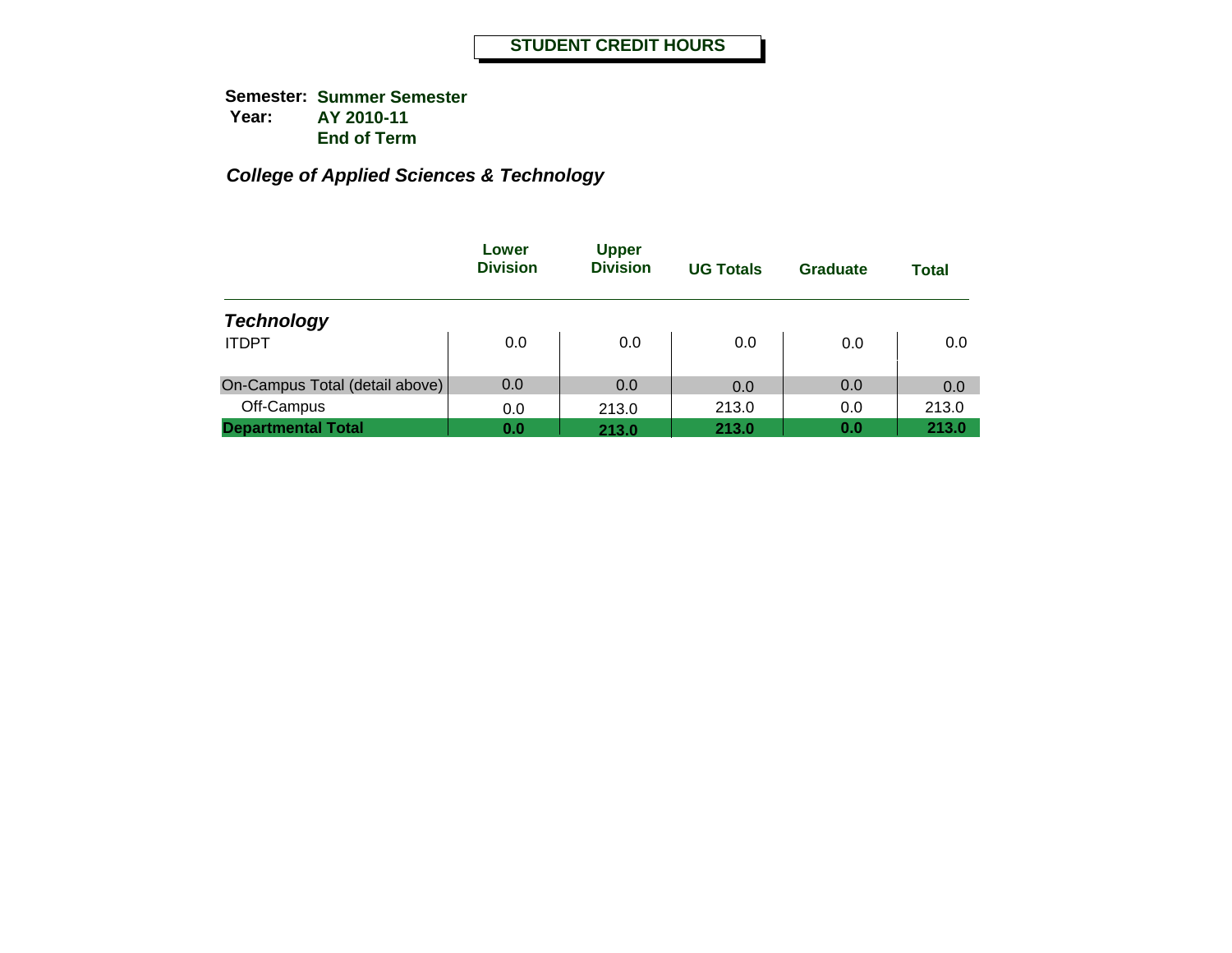|                                | Lower<br><b>Division</b> | <b>Upper</b><br><b>Division</b> | <b>UG Totals</b> | Graduate | <b>Total</b> |
|--------------------------------|--------------------------|---------------------------------|------------------|----------|--------------|
| <b>Technology</b>              |                          |                                 |                  |          |              |
| <b>ITDPT</b>                   | 0.0                      | 0.0                             | 0.0              | 0.0      | 0.0          |
| On-Campus Total (detail above) | 0.0                      | 0.0                             | 0.0              | 0.0      | 0.0          |
| Off-Campus                     | 0.0                      | 213.0                           | 213.0            | 0.0      | 213.0        |
| <b>Departmental Total</b>      | 0.0                      | 213.0                           | 213.0            | 0.0      | 213.0        |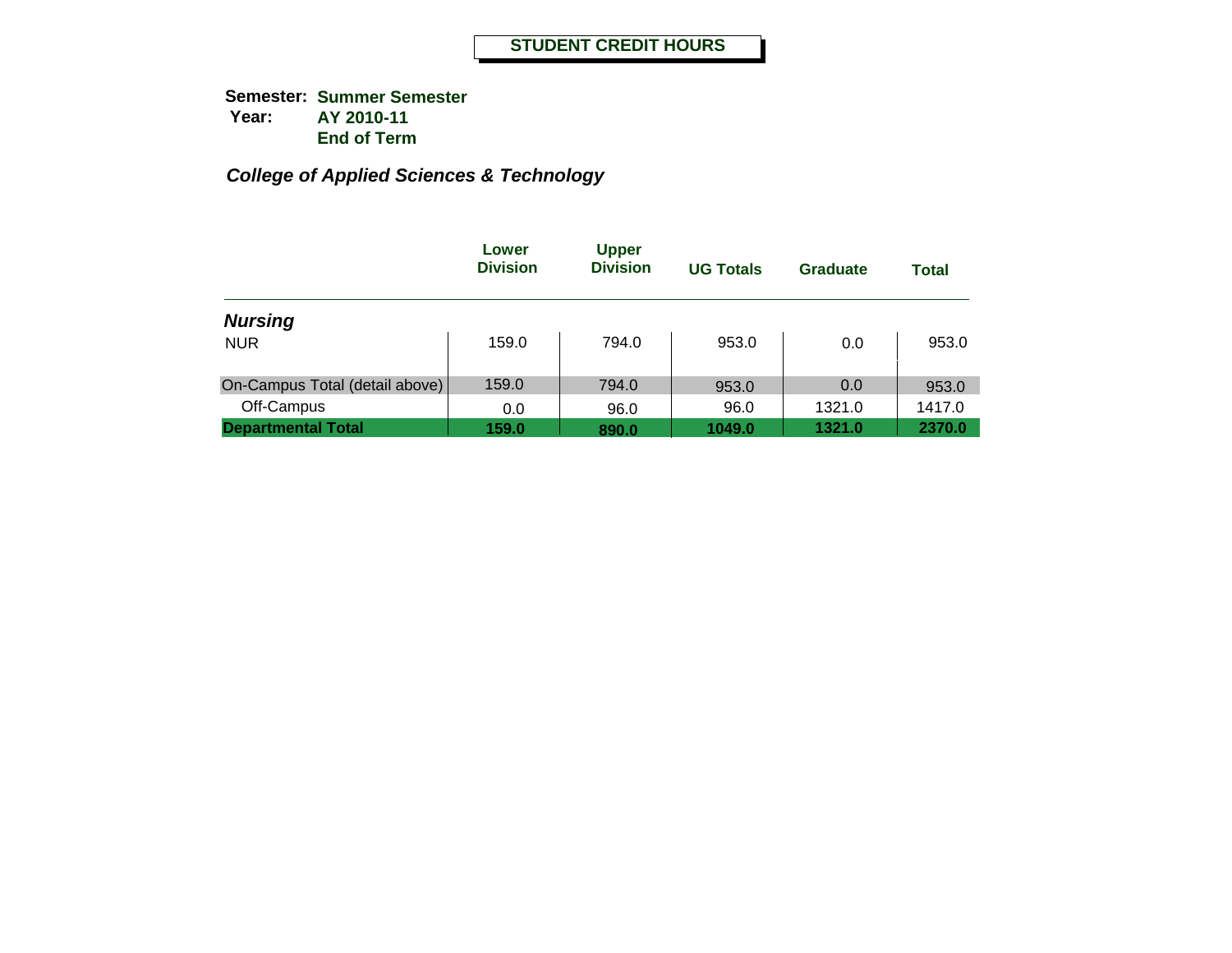|                                | Lower<br><b>Division</b> | <b>Upper</b><br><b>Division</b> | <b>UG Totals</b> | Graduate | <b>Total</b> |
|--------------------------------|--------------------------|---------------------------------|------------------|----------|--------------|
| <b>Nursing</b>                 |                          |                                 |                  |          |              |
| <b>NUR</b>                     | 159.0                    | 794.0                           | 953.0            | 0.0      | 953.0        |
| On-Campus Total (detail above) | 159.0                    | 794.0                           | 953.0            | 0.0      | 953.0        |
| Off-Campus                     | 0.0                      | 96.0                            | 96.0             | 1321.0   | 1417.0       |
| <b>Departmental Total</b>      | 159.0                    | 890.0                           | 1049.0           | 1321.0   | 2370.0       |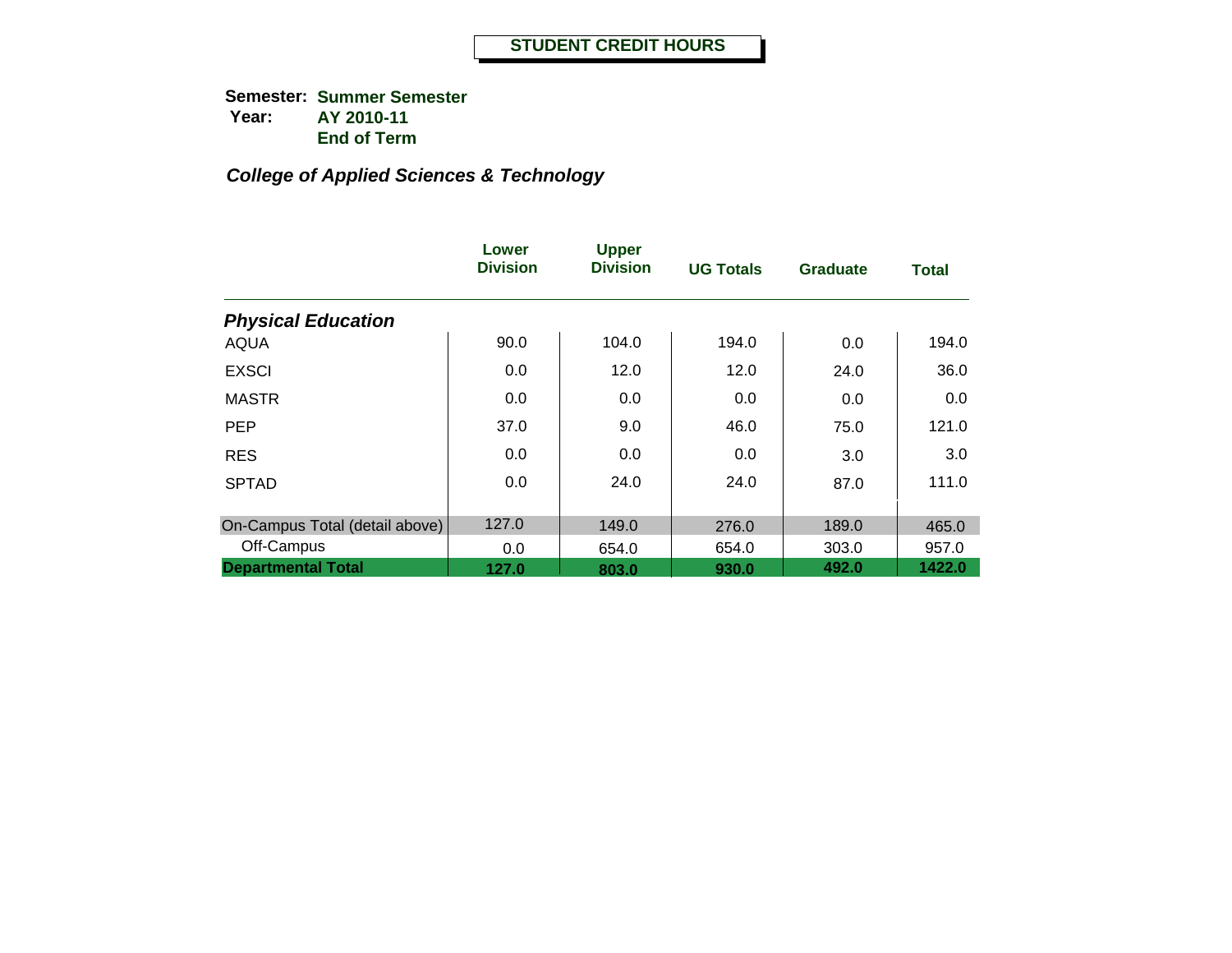|                                | Lower<br><b>Division</b> | <b>Upper</b><br><b>Division</b> | <b>UG Totals</b> | <b>Graduate</b> | <b>Total</b> |
|--------------------------------|--------------------------|---------------------------------|------------------|-----------------|--------------|
| <b>Physical Education</b>      |                          |                                 |                  |                 |              |
| <b>AQUA</b>                    | 90.0                     | 104.0                           | 194.0            | 0.0             | 194.0        |
| <b>EXSCI</b>                   | 0.0                      | 12.0                            | 12.0             | 24.0            | 36.0         |
| <b>MASTR</b>                   | 0.0                      | 0.0                             | 0.0              | 0.0             | 0.0          |
| <b>PEP</b>                     | 37.0                     | 9.0                             | 46.0             | 75.0            | 121.0        |
| <b>RES</b>                     | 0.0                      | 0.0                             | 0.0              | 3.0             | 3.0          |
| <b>SPTAD</b>                   | 0.0                      | 24.0                            | 24.0             | 87.0            | 111.0        |
| On-Campus Total (detail above) | 127.0                    | 149.0                           | 276.0            | 189.0           | 465.0        |
| Off-Campus                     | 0.0                      | 654.0                           | 654.0            | 303.0           | 957.0        |
| <b>Departmental Total</b>      | 127.0                    | 803.0                           | 930.0            | 492.0           | 1422.0       |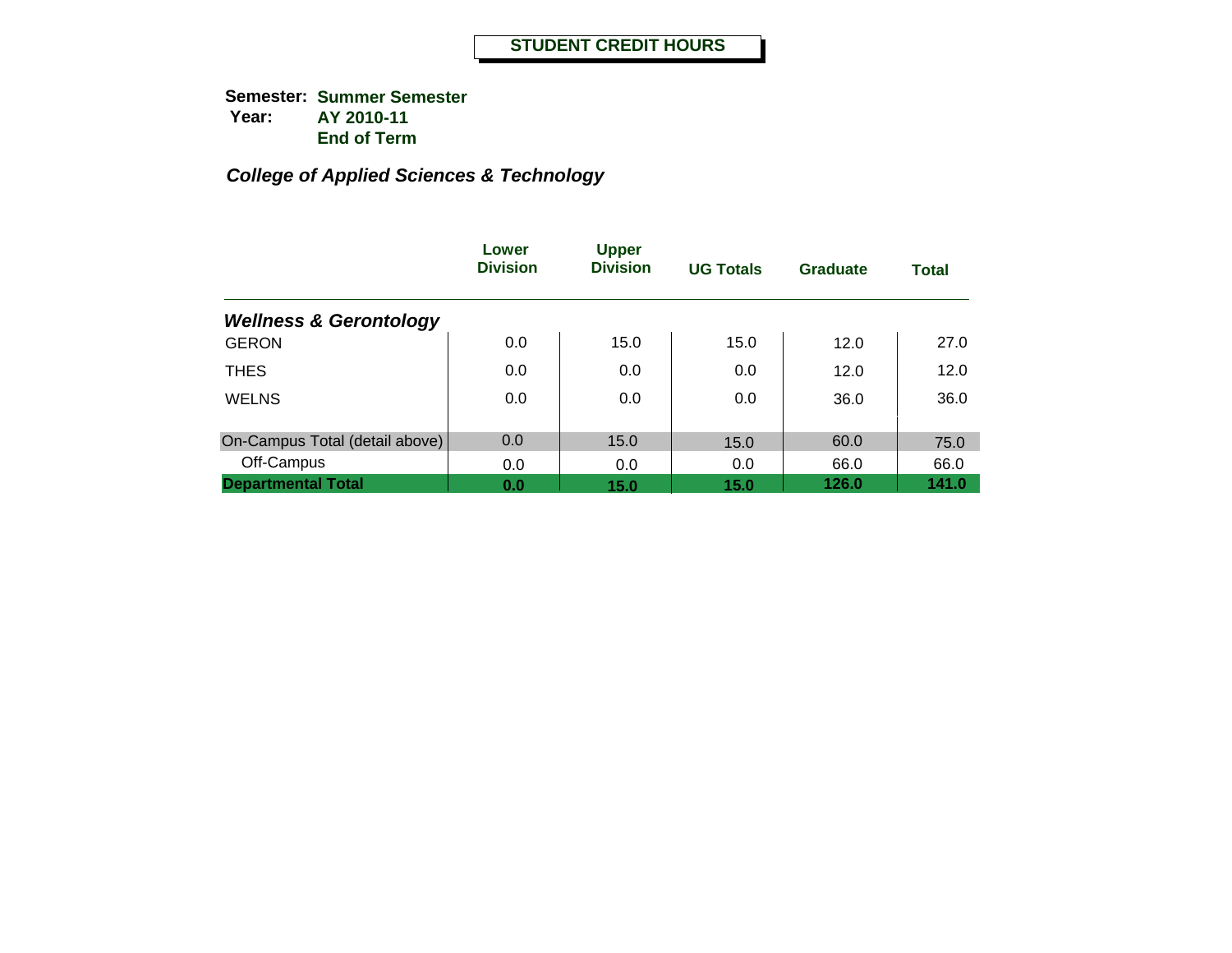|                                   | Lower<br><b>Division</b> | <b>Upper</b><br><b>Division</b> | <b>UG Totals</b> | <b>Graduate</b> | <b>Total</b> |
|-----------------------------------|--------------------------|---------------------------------|------------------|-----------------|--------------|
| <b>Wellness &amp; Gerontology</b> |                          |                                 |                  |                 |              |
| <b>GERON</b>                      | 0.0                      | 15.0                            | 15.0             | 12.0            | 27.0         |
| <b>THES</b>                       | 0.0                      | 0.0                             | 0.0              | 12.0            | 12.0         |
| <b>WELNS</b>                      | 0.0                      | 0.0                             | 0.0              | 36.0            | 36.0         |
| On-Campus Total (detail above)    | 0.0                      | 15.0                            | 15.0             | 60.0            | 75.0         |
| Off-Campus                        | 0.0                      | 0.0                             | 0.0              | 66.0            | 66.0         |
| <b>Departmental Total</b>         | 0.0                      | 15.0                            | 15.0             | 126.0           | 141.0        |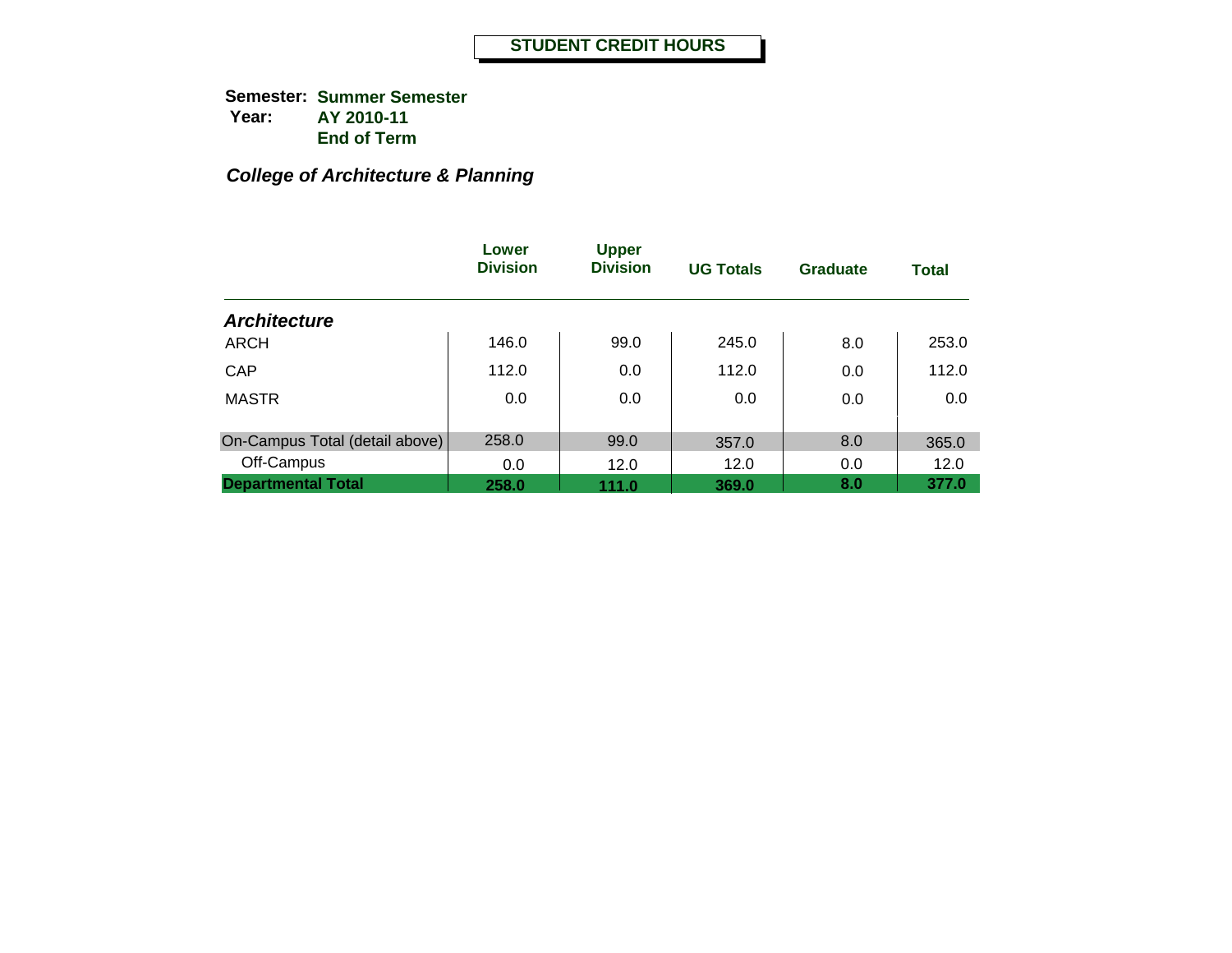# *College of Architecture & Planning*

|                                | Lower<br><b>Division</b> | <b>Upper</b><br><b>Division</b> | <b>UG Totals</b> | Graduate | <b>Total</b> |
|--------------------------------|--------------------------|---------------------------------|------------------|----------|--------------|
| <b>Architecture</b>            |                          |                                 |                  |          |              |
| <b>ARCH</b>                    | 146.0                    | 99.0                            | 245.0            | 8.0      | 253.0        |
| CAP                            | 112.0                    | 0.0                             | 112.0            | 0.0      | 112.0        |
| <b>MASTR</b>                   | 0.0                      | 0.0                             | 0.0              | 0.0      | 0.0          |
| On-Campus Total (detail above) | 258.0                    | 99.0                            | 357.0            | 8.0      | 365.0        |
| Off-Campus                     | 0.0                      | 12.0                            | 12.0             | 0.0      | 12.0         |
| <b>Departmental Total</b>      | 258.0                    | 111.0                           | 369.0            | 8.0      | 377.0        |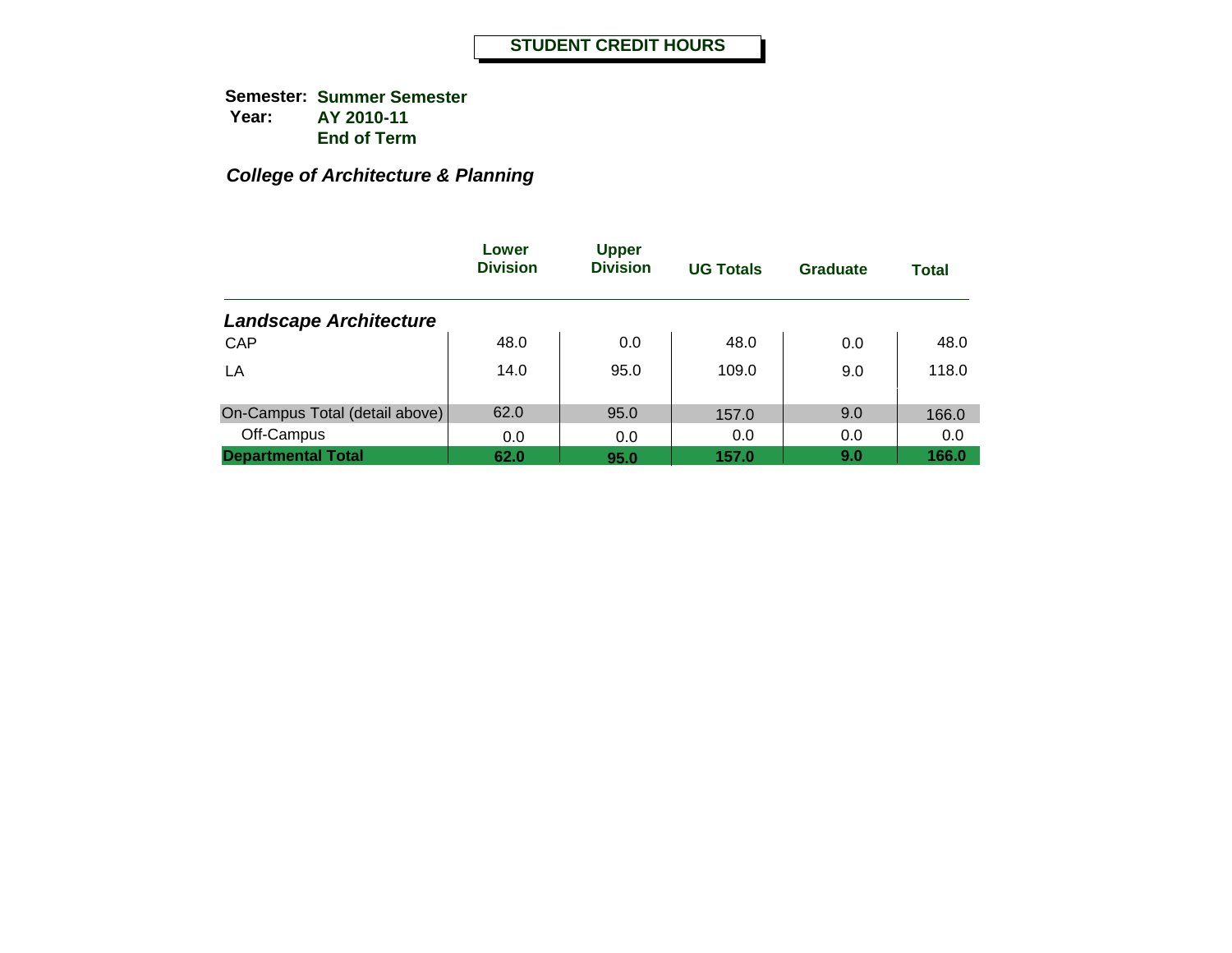# *College of Architecture & Planning*

|                                | Lower<br><b>Division</b> | <b>Upper</b><br><b>Division</b> | <b>UG Totals</b> | <b>Graduate</b> | <b>Total</b> |
|--------------------------------|--------------------------|---------------------------------|------------------|-----------------|--------------|
| <b>Landscape Architecture</b>  |                          |                                 |                  |                 |              |
| CAP                            | 48.0                     | 0.0                             | 48.0             | 0.0             | 48.0         |
| LA                             | 14.0                     | 95.0                            | 109.0            | 9.0             | 118.0        |
| On-Campus Total (detail above) | 62.0                     | 95.0                            | 157.0            | 9.0             | 166.0        |
| Off-Campus                     | 0.0                      | 0.0                             | 0.0              | 0.0             | 0.0          |
| <b>Departmental Total</b>      | 62.0                     | 95.0                            | 157.0            | 9.0             | 166.0        |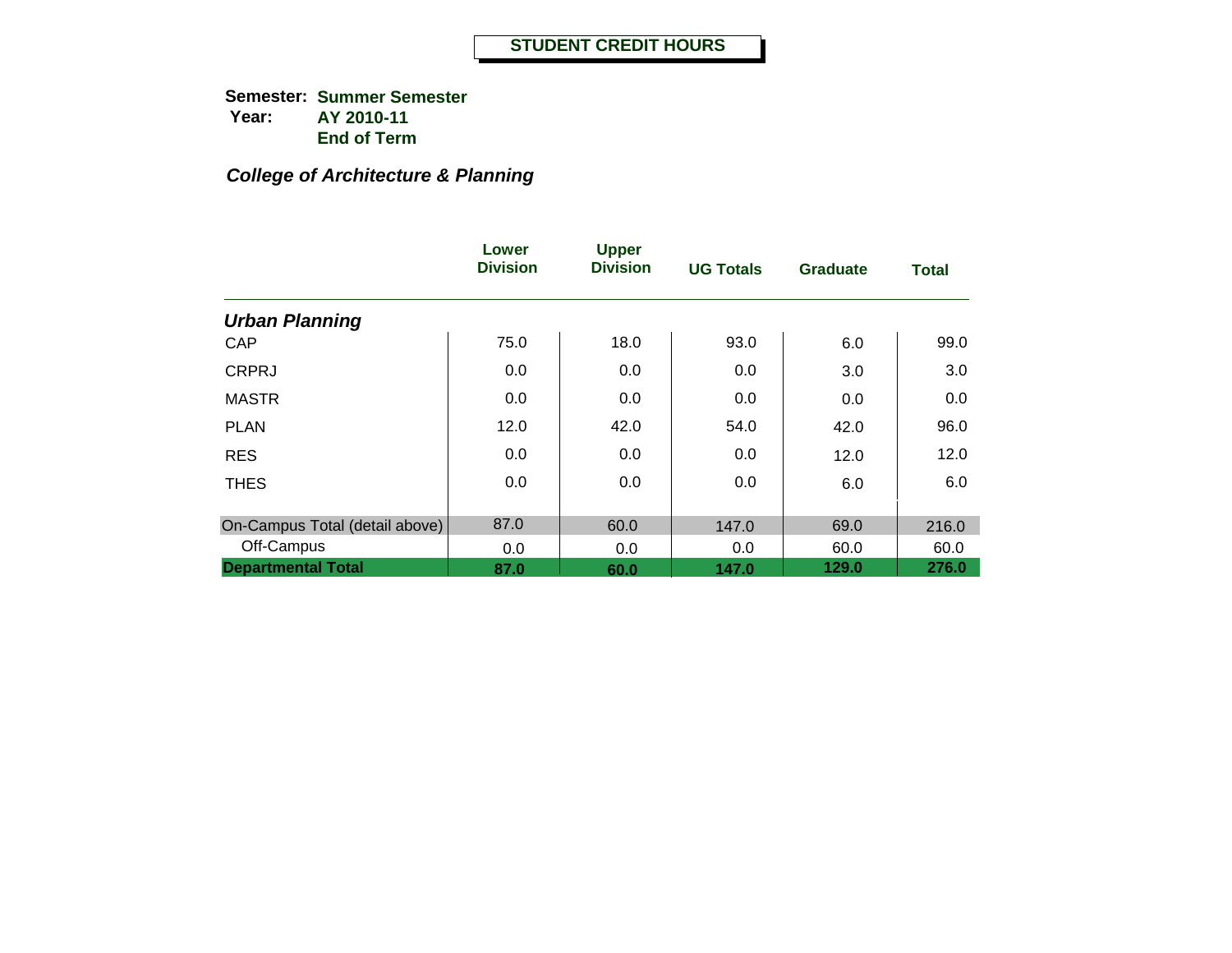**Semester: Summer Semester Year: AY 2010-11End of Term**

# *College of Architecture & Planning*

|                                | Lower<br><b>Division</b> | <b>Upper</b><br><b>Division</b> | <b>UG Totals</b> | <b>Graduate</b> | <b>Total</b> |
|--------------------------------|--------------------------|---------------------------------|------------------|-----------------|--------------|
| <b>Urban Planning</b>          |                          |                                 |                  |                 |              |
| CAP                            | 75.0                     | 18.0                            | 93.0             | 6.0             | 99.0         |
| <b>CRPRJ</b>                   | 0.0                      | 0.0                             | 0.0              | 3.0             | 3.0          |
| <b>MASTR</b>                   | 0.0                      | 0.0                             | 0.0              | 0.0             | 0.0          |
| <b>PLAN</b>                    | 12.0                     | 42.0                            | 54.0             | 42.0            | 96.0         |
| <b>RES</b>                     | 0.0                      | 0.0                             | 0.0              | 12.0            | 12.0         |
| <b>THES</b>                    | 0.0                      | 0.0                             | 0.0              | 6.0             | 6.0          |
| On-Campus Total (detail above) | 87.0                     | 60.0                            | 147.0            | 69.0            | 216.0        |
| Off-Campus                     | 0.0                      | 0.0                             | 0.0              | 60.0            | 60.0         |
| <b>Departmental Total</b>      | 87.0                     | 60.0                            | 147.0            | 129.0           | 276.0        |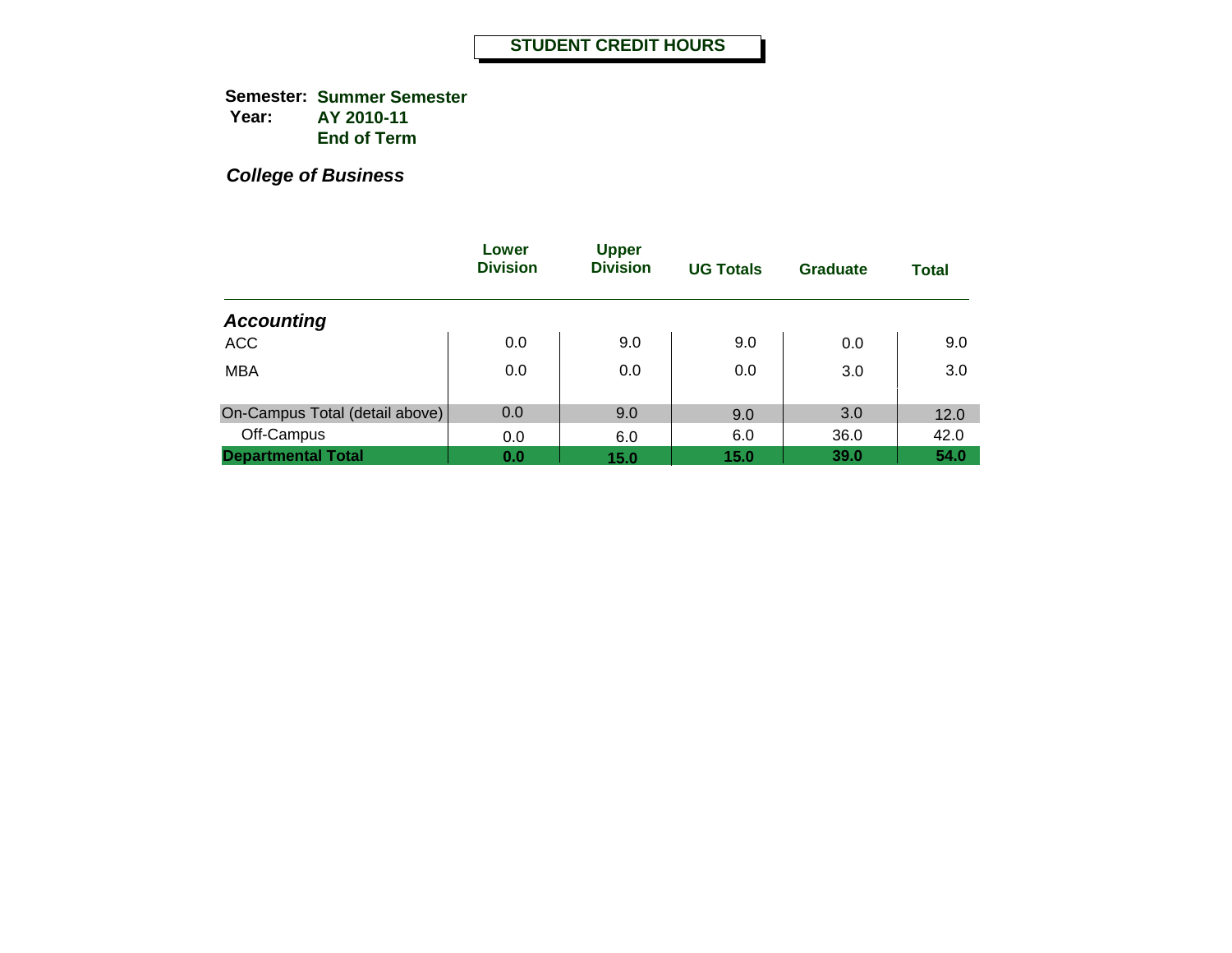**Semester: Summer Semester Year: AY 2010-11 End of Term**

|                                | Lower<br><b>Division</b> | <b>Upper</b><br><b>Division</b> | <b>UG Totals</b> | Graduate | <b>Total</b> |
|--------------------------------|--------------------------|---------------------------------|------------------|----------|--------------|
| <b>Accounting</b>              |                          |                                 |                  |          |              |
| <b>ACC</b>                     | 0.0                      | 9.0                             | 9.0              | 0.0      | 9.0          |
| <b>MBA</b>                     | 0.0                      | 0.0                             | 0.0              | 3.0      | 3.0          |
| On-Campus Total (detail above) | 0.0                      | 9.0                             | 9.0              | 3.0      | 12.0         |
| Off-Campus                     | 0.0                      | 6.0                             | 6.0              | 36.0     | 42.0         |
| <b>Departmental Total</b>      | 0.0                      | 15.0                            | 15.0             | 39.0     | 54.0         |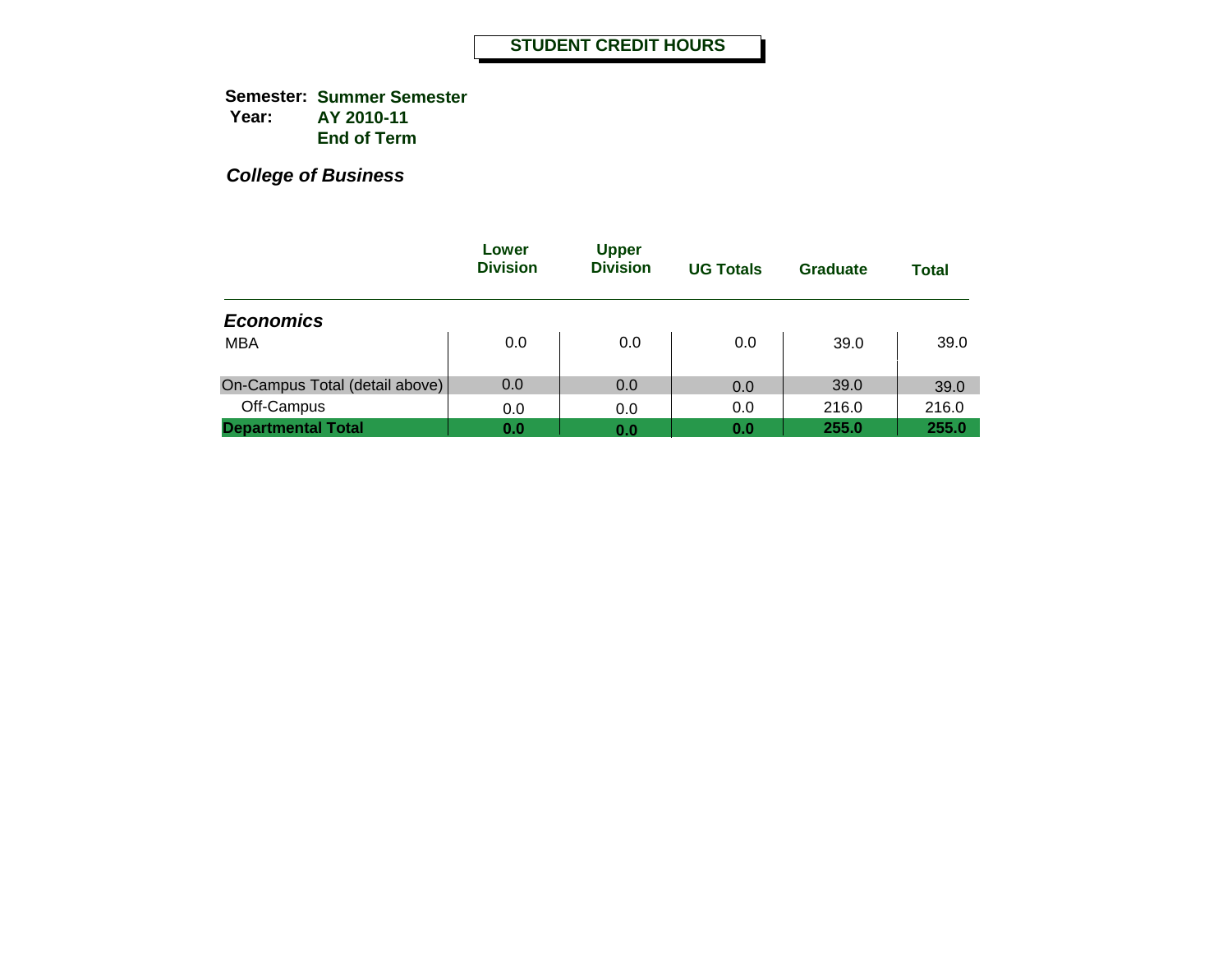**Semester: Summer Semester Year: AY 2010-11 End of Term**

|                                | Lower<br><b>Division</b> | <b>Upper</b><br><b>Division</b> | <b>UG Totals</b> | <b>Graduate</b> | <b>Total</b> |
|--------------------------------|--------------------------|---------------------------------|------------------|-----------------|--------------|
| <b>Economics</b>               |                          |                                 |                  |                 |              |
| <b>MBA</b>                     | 0.0                      | 0.0                             | 0.0              | 39.0            | 39.0         |
| On-Campus Total (detail above) | 0.0                      | 0.0                             | 0.0              | 39.0            | 39.0         |
| Off-Campus                     | 0.0                      | 0.0                             | 0.0              | 216.0           | 216.0        |
| <b>Departmental Total</b>      | 0.0                      | 0.0                             | 0.0              | 255.0           | 255.0        |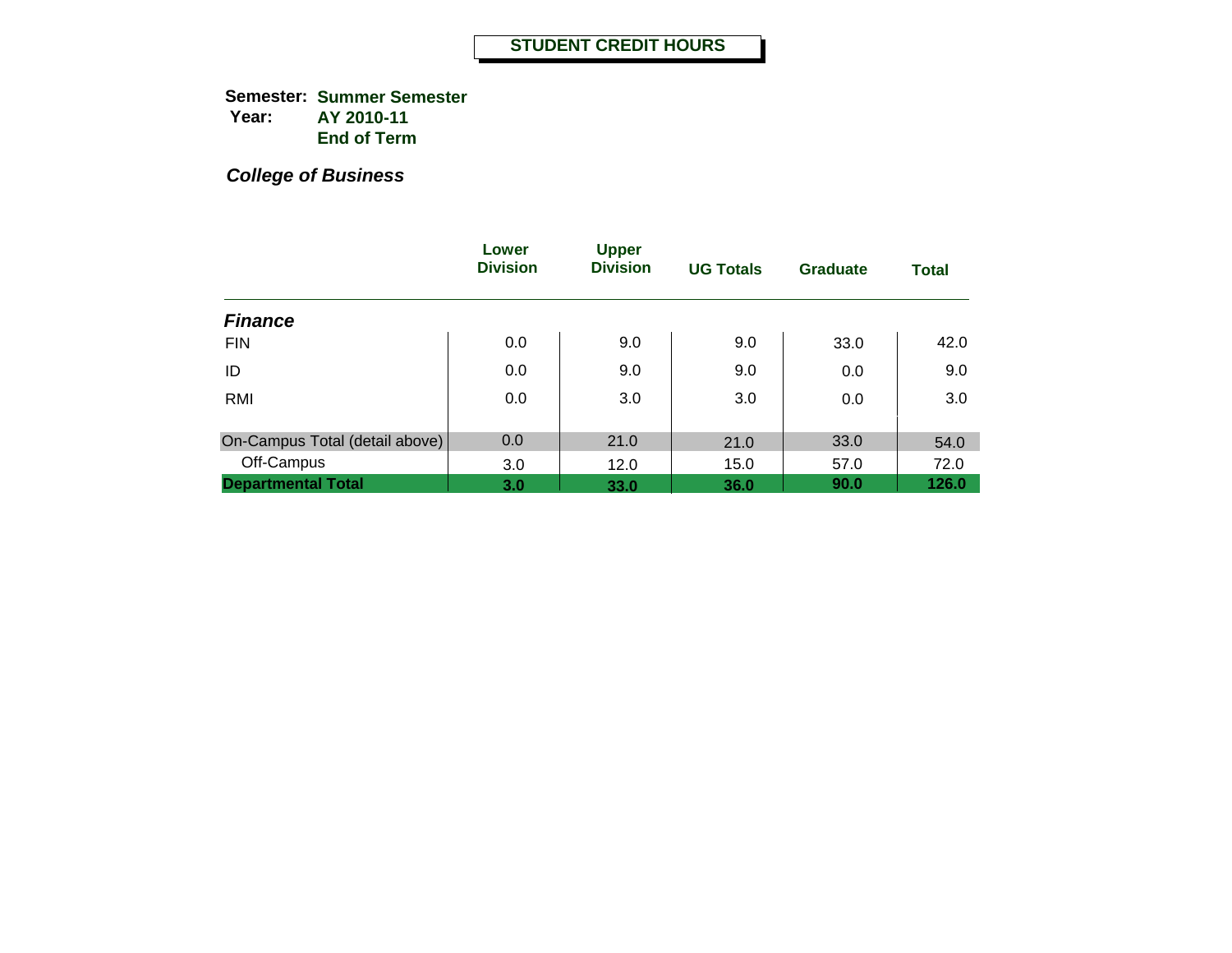**Semester: Summer Semester Year: AY 2010-11 End of Term**

|                                | Lower<br><b>Division</b> | <b>Upper</b><br><b>Division</b> | <b>UG Totals</b> | <b>Graduate</b> | <b>Total</b> |
|--------------------------------|--------------------------|---------------------------------|------------------|-----------------|--------------|
| <b>Finance</b>                 |                          |                                 |                  |                 |              |
| <b>FIN</b>                     | 0.0                      | 9.0                             | 9.0              | 33.0            | 42.0         |
| ID                             | 0.0                      | 9.0                             | 9.0              | 0.0             | 9.0          |
| <b>RMI</b>                     | 0.0                      | 3.0                             | 3.0              | 0.0             | 3.0          |
|                                |                          |                                 |                  |                 |              |
| On-Campus Total (detail above) | 0.0                      | 21.0                            | 21.0             | 33.0            | 54.0         |
| Off-Campus                     | 3.0                      | 12.0                            | 15.0             | 57.0            | 72.0         |
| <b>Departmental Total</b>      | 3.0                      | 33.0                            | 36.0             | 90.0            | 126.0        |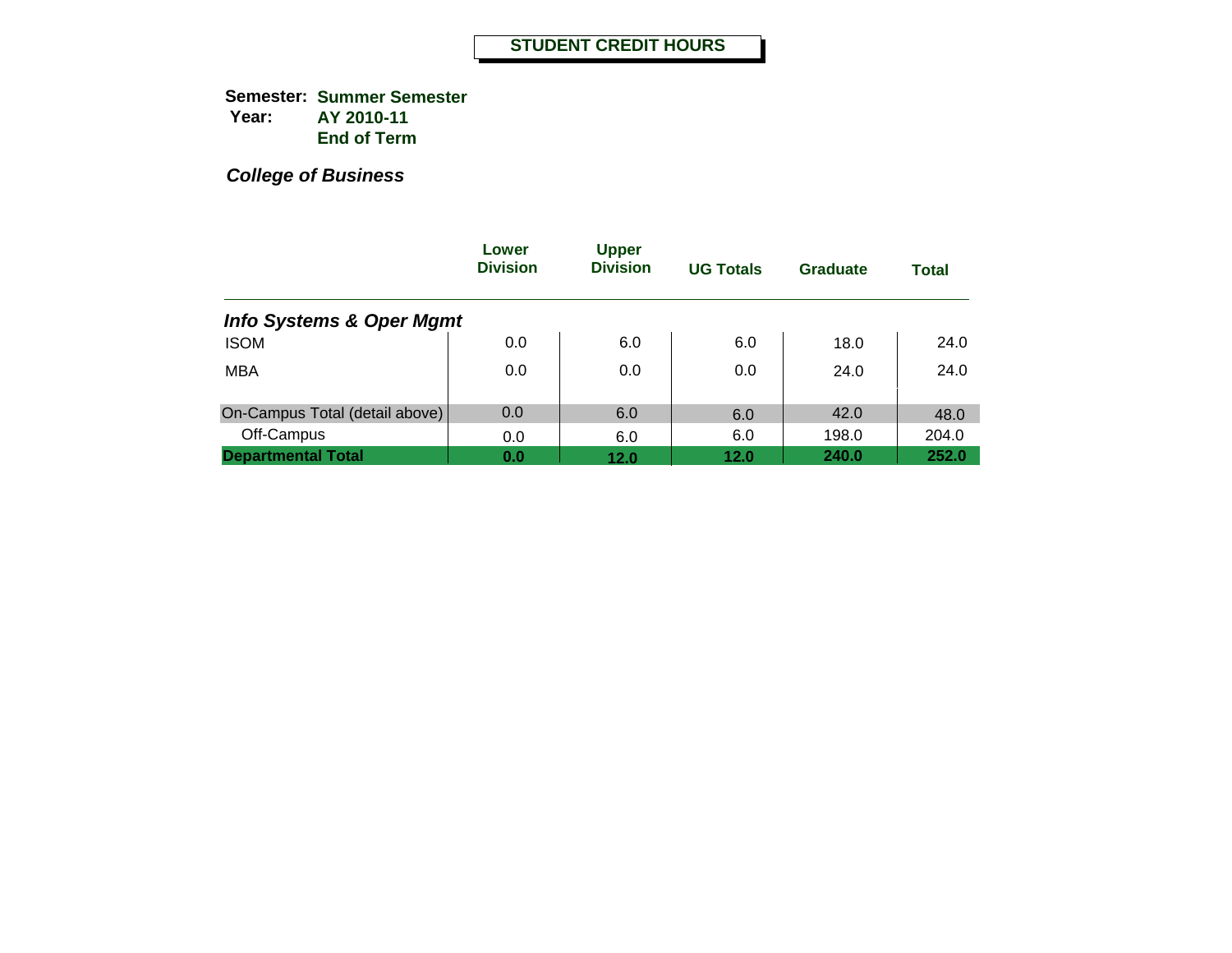**Semester: Summer Semester Year: AY 2010-11 End of Term**

|                                     | Lower<br><b>Division</b> | <b>Upper</b><br><b>Division</b> | <b>UG Totals</b> | Graduate | <b>Total</b> |
|-------------------------------------|--------------------------|---------------------------------|------------------|----------|--------------|
| <b>Info Systems &amp; Oper Mgmt</b> |                          |                                 |                  |          |              |
| <b>ISOM</b>                         | 0.0                      | 6.0                             | 6.0              | 18.0     | 24.0         |
| <b>MBA</b>                          | 0.0                      | 0.0                             | 0.0              | 24.0     | 24.0         |
| On-Campus Total (detail above)      | 0.0                      | 6.0                             | 6.0              | 42.0     | 48.0         |
| Off-Campus                          | 0.0                      | 6.0                             | 6.0              | 198.0    | 204.0        |
| <b>Departmental Total</b>           | 0.0                      | 12.0                            | 12.0             | 240.0    | 252.0        |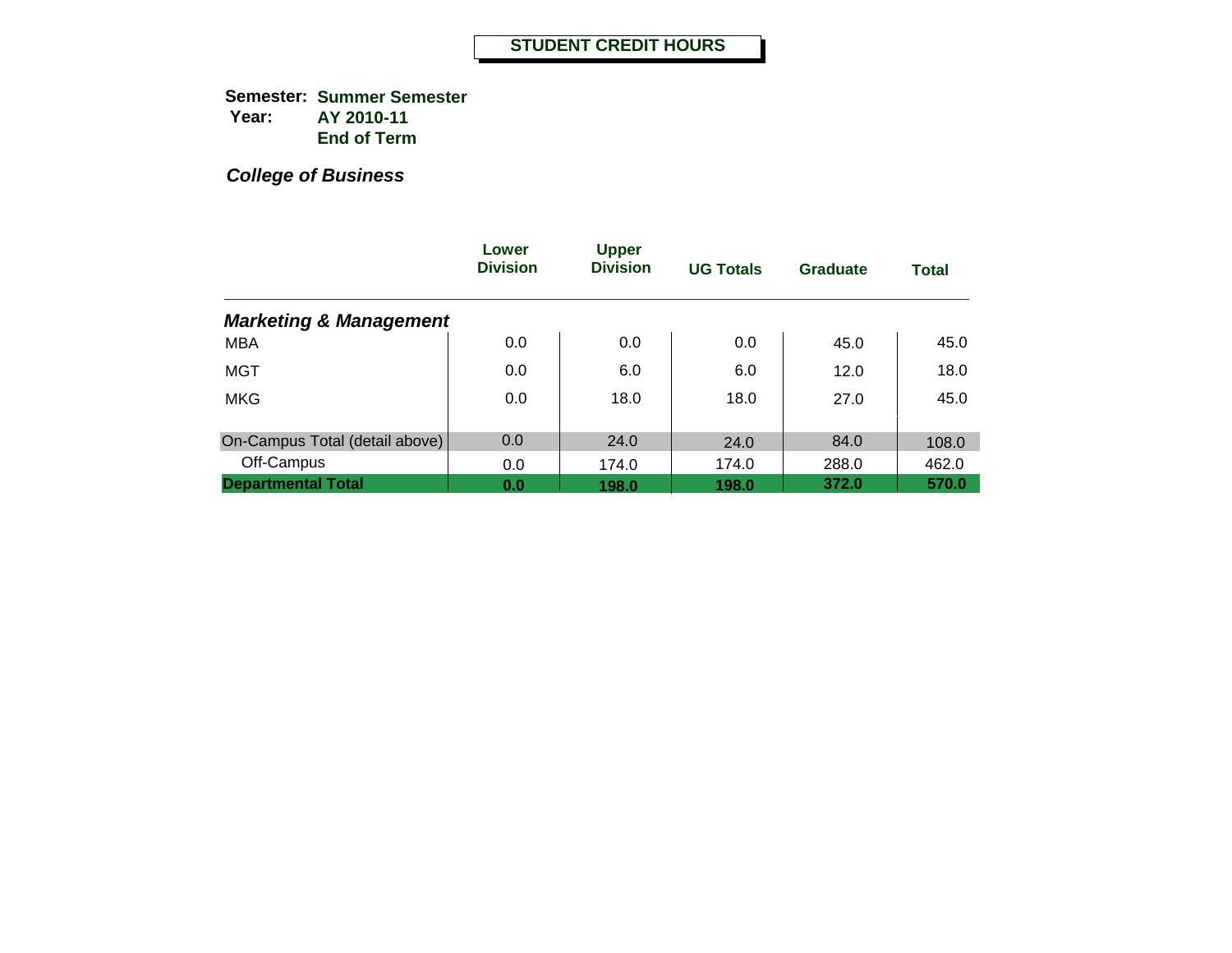**Semester: Summer Semester Year: AY 2010-11 End of Term**

|                                   | Lower<br><b>Division</b> | <b>Upper</b><br><b>Division</b> | <b>UG Totals</b> | <b>Graduate</b> | <b>Total</b>   |
|-----------------------------------|--------------------------|---------------------------------|------------------|-----------------|----------------|
| <b>Marketing &amp; Management</b> |                          |                                 |                  |                 |                |
| <b>MBA</b>                        | 0.0                      | 0.0                             | 0.0              | 45.0            | 45.0           |
| MGT                               | 0.0                      | 6.0                             | 6.0              | 12.0            | 18.0           |
| <b>MKG</b>                        | 0.0                      | 18.0                            | 18.0             | 27.0            | 45.0           |
| On-Campus Total (detail above)    | 0.0                      | 24.0                            |                  | 84.0            |                |
| Off-Campus                        | 0.0                      | 174.0                           | 24.0<br>174.0    | 288.0           | 108.0<br>462.0 |
| <b>Departmental Total</b>         | 0.0                      | 198.0                           | 198.0            | 372.0           | 570.0          |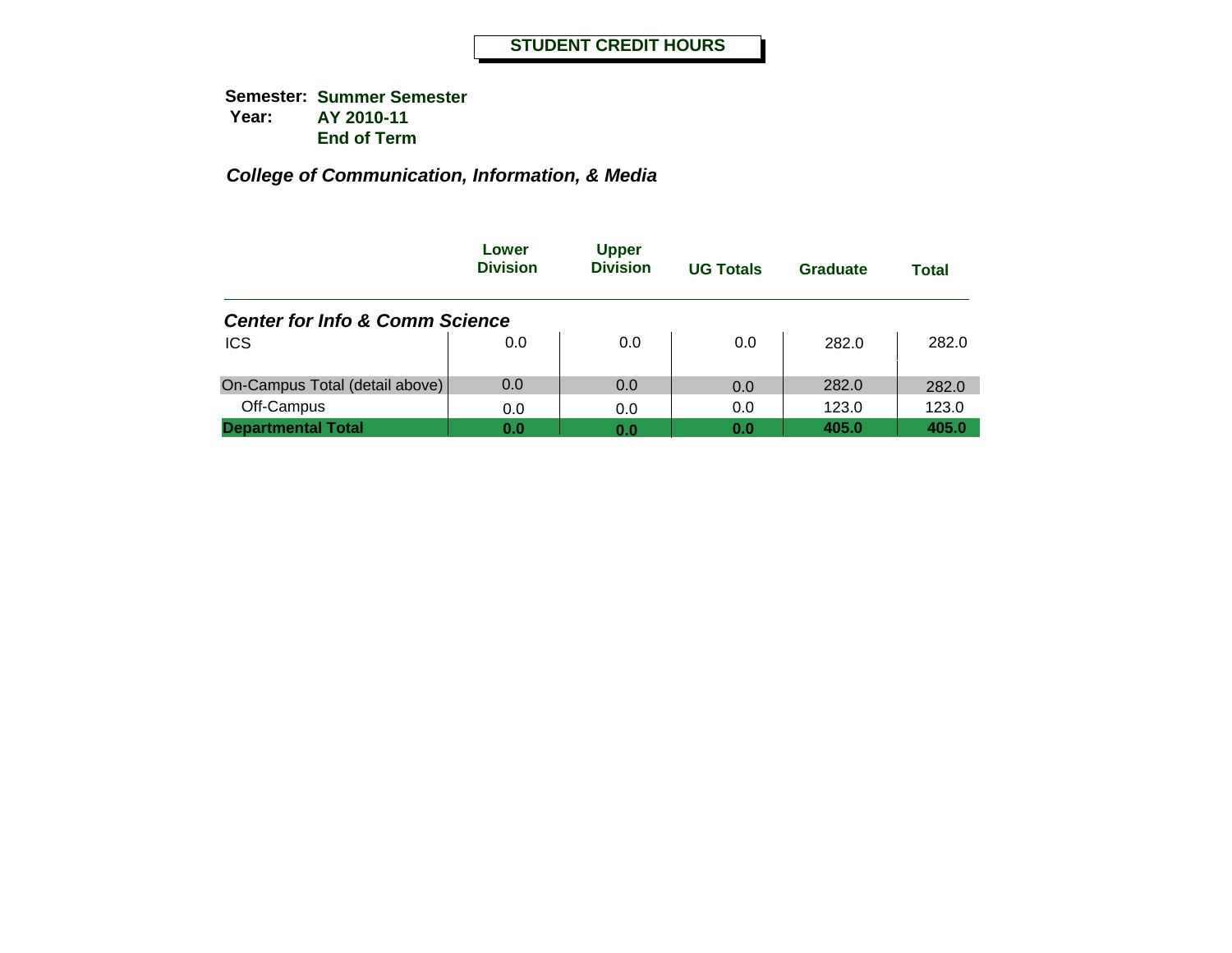|                                           | Lower<br><b>Division</b> | <b>Upper</b><br><b>Division</b> | <b>UG Totals</b> | Graduate | Total |
|-------------------------------------------|--------------------------|---------------------------------|------------------|----------|-------|
| <b>Center for Info &amp; Comm Science</b> |                          |                                 |                  |          |       |
| <b>ICS</b>                                | 0.0                      | 0.0                             | 0.0              | 282.0    | 282.0 |
| On-Campus Total (detail above)            | 0.0                      | 0.0                             | 0.0              | 282.0    | 282.0 |
| Off-Campus                                | 0.0                      | 0.0                             | 0.0              | 123.0    | 123.0 |
| <b>Departmental Total</b>                 | 0.0                      | 0.0                             | 0.0              | 405.0    | 405.0 |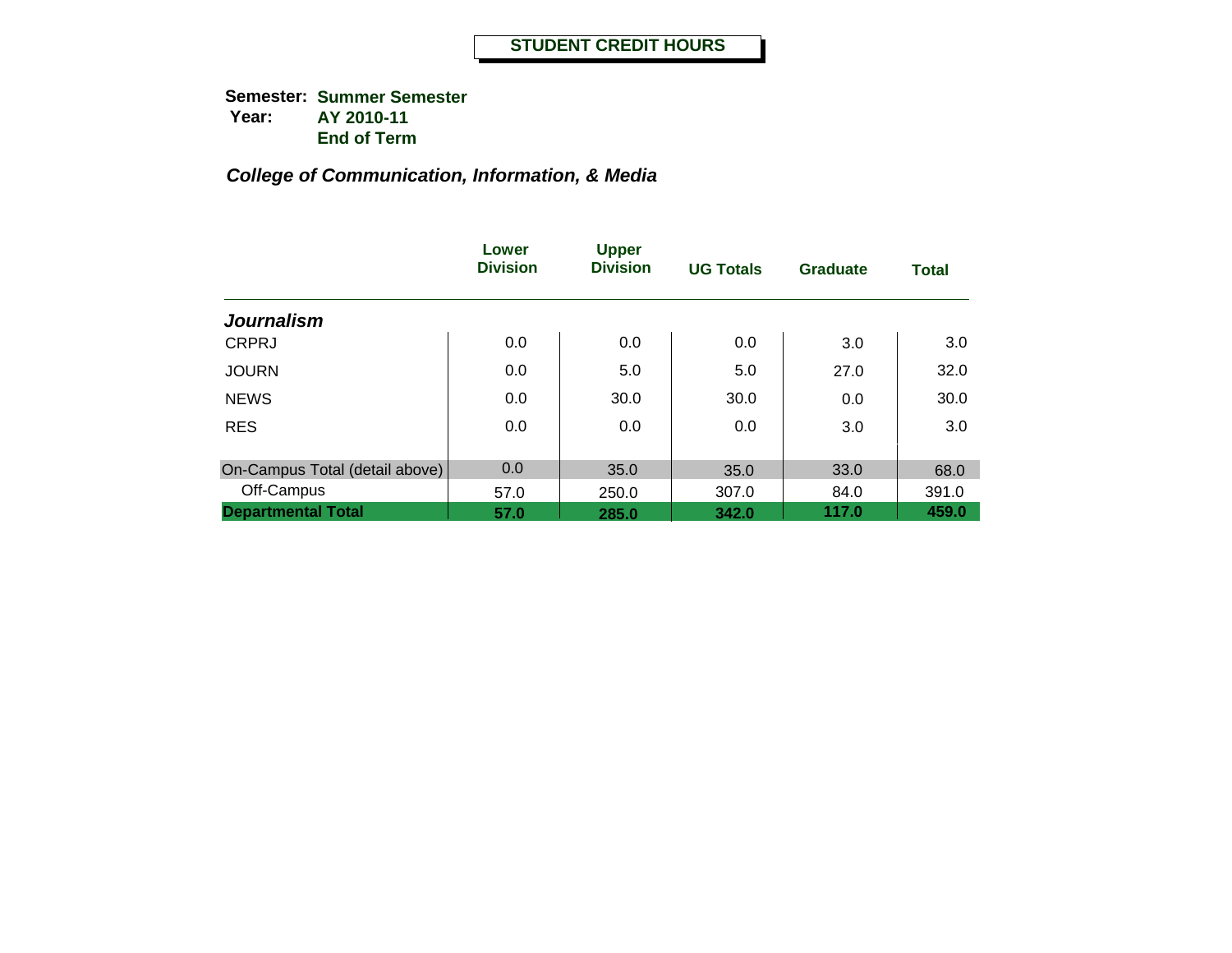**Semester: Summer Semester Year: AY 2010-11 End of Term**

|                                | Lower<br><b>Division</b> | <b>Upper</b><br><b>Division</b> | <b>UG Totals</b> | <b>Graduate</b> | <b>Total</b> |
|--------------------------------|--------------------------|---------------------------------|------------------|-----------------|--------------|
| <b>Journalism</b>              |                          |                                 |                  |                 |              |
| <b>CRPRJ</b>                   | 0.0                      | 0.0                             | 0.0              | 3.0             | 3.0          |
| <b>JOURN</b>                   | 0.0                      | 5.0                             | 5.0              | 27.0            | 32.0         |
| <b>NEWS</b>                    | 0.0                      | 30.0                            | 30.0             | 0.0             | 30.0         |
| <b>RES</b>                     | 0.0                      | 0.0                             | 0.0              | 3.0             | 3.0          |
| On-Campus Total (detail above) | 0.0                      | 35.0                            | 35.0             | 33.0            | 68.0         |
| Off-Campus                     | 57.0                     | 250.0                           | 307.0            | 84.0            | 391.0        |
| <b>Departmental Total</b>      | 57.0                     | 285.0                           | 342.0            | 117.0           | 459.0        |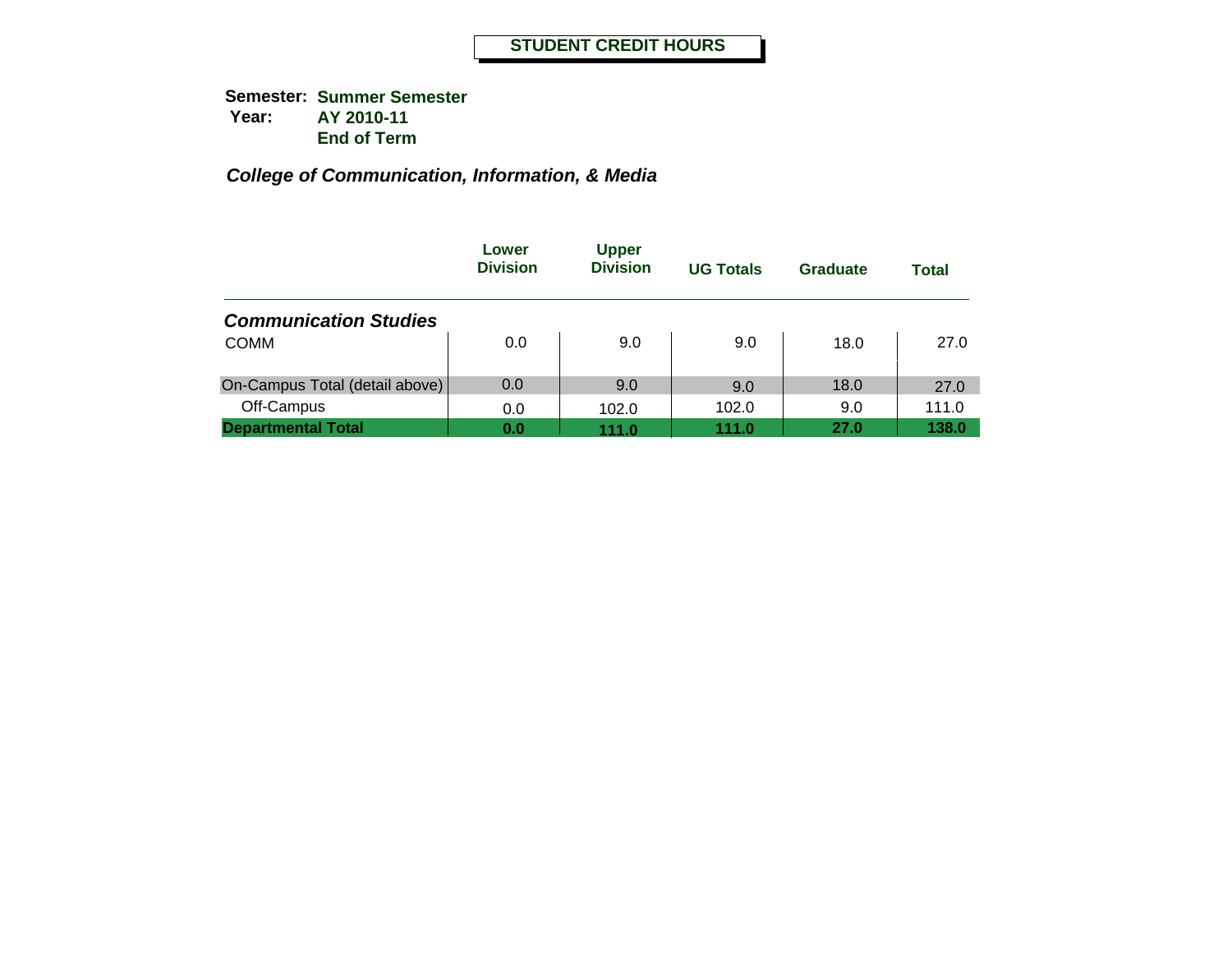|                                | Lower<br><b>Division</b> | <b>Upper</b><br><b>Division</b> | <b>UG Totals</b> | Graduate | Total |
|--------------------------------|--------------------------|---------------------------------|------------------|----------|-------|
| <b>Communication Studies</b>   |                          |                                 |                  |          |       |
| <b>COMM</b>                    | 0.0                      | 9.0                             | 9.0              | 18.0     | 27.0  |
| On-Campus Total (detail above) | 0.0                      | 9.0                             | 9.0              | 18.0     | 27.0  |
| Off-Campus                     | 0.0                      | 102.0                           | 102.0            | 9.0      | 111.0 |
| <b>Departmental Total</b>      | 0.0                      | 111.0                           | 111.0            | 27.0     | 138.0 |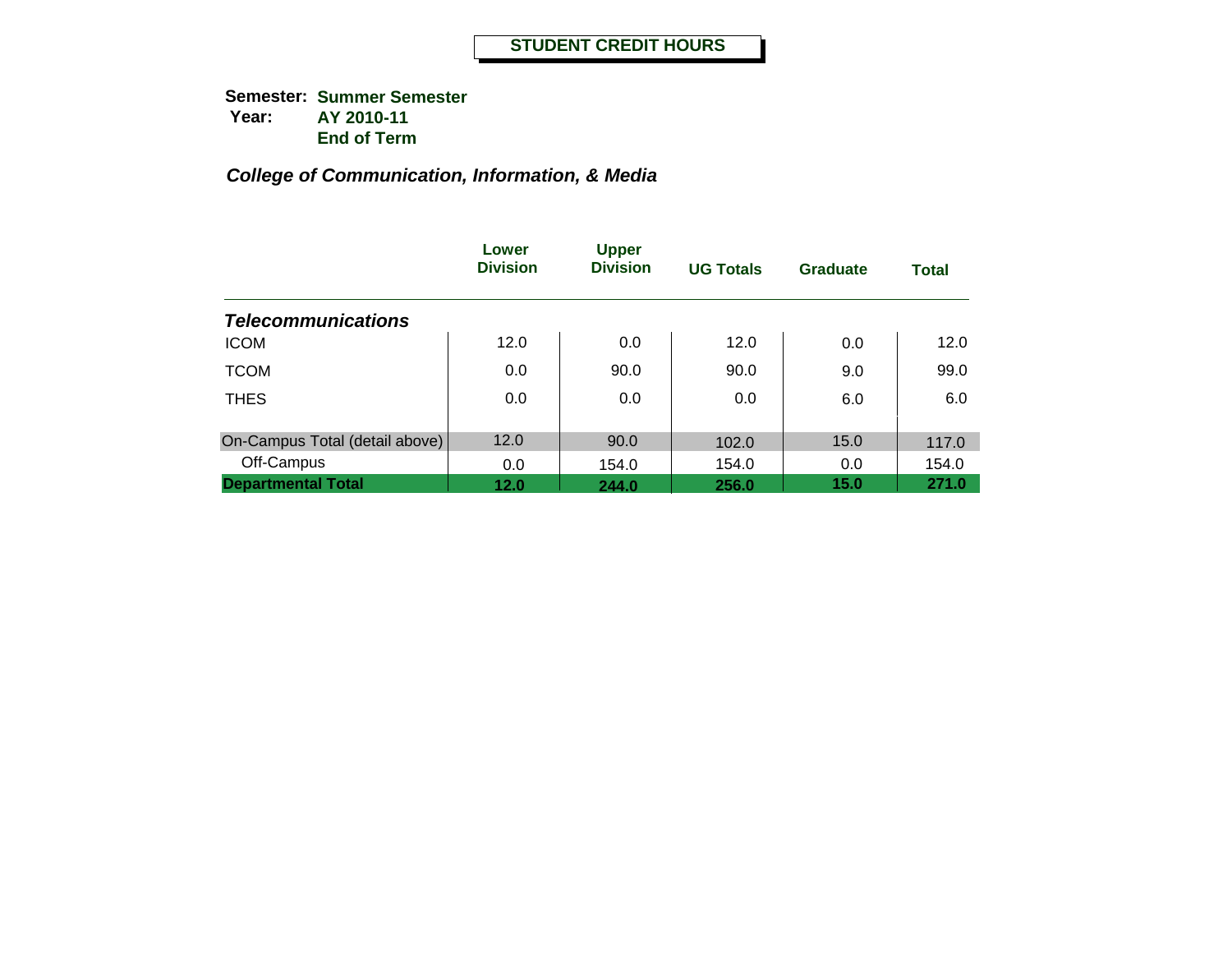**Semester: Summer Semester Year: AY 2010-11 End of Term**

|                                | Lower<br><b>Division</b> | <b>Upper</b><br><b>Division</b> | <b>UG Totals</b> | <b>Graduate</b> | <b>Total</b> |
|--------------------------------|--------------------------|---------------------------------|------------------|-----------------|--------------|
| <b>Telecommunications</b>      |                          |                                 |                  |                 |              |
| <b>ICOM</b>                    | 12.0                     | 0.0                             | 12.0             | 0.0             | 12.0         |
| <b>TCOM</b>                    | 0.0                      | 90.0                            | 90.0             | 9.0             | 99.0         |
| <b>THES</b>                    | 0.0                      | 0.0                             | 0.0              | 6.0             | 6.0          |
| On-Campus Total (detail above) | 12.0                     | 90.0                            | 102.0            | 15.0            | 117.0        |
| Off-Campus                     | 0.0                      | 154.0                           | 154.0            | 0.0             | 154.0        |
| <b>Departmental Total</b>      | 12.0                     | 244.0                           | 256.0            | 15.0            | 271.0        |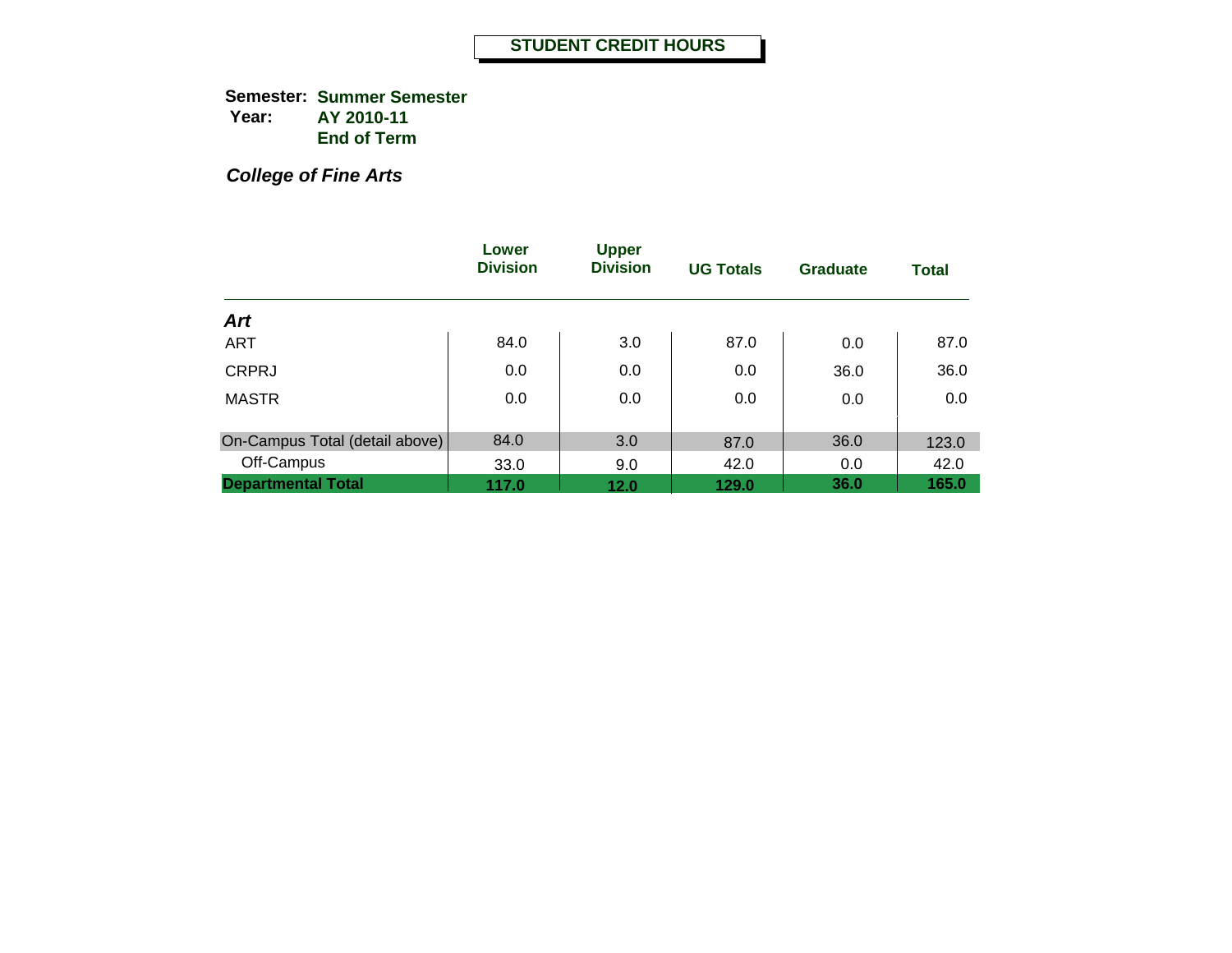**Semester: Summer Semester Year: AY 2010-11 End of Term**

*College of Fine Arts*

|                                | Lower<br><b>Division</b> | <b>Upper</b><br><b>Division</b> | <b>UG Totals</b> | <b>Graduate</b> | <b>Total</b> |
|--------------------------------|--------------------------|---------------------------------|------------------|-----------------|--------------|
| Art                            |                          |                                 |                  |                 |              |
| <b>ART</b>                     | 84.0                     | 3.0                             | 87.0             | 0.0             | 87.0         |
| <b>CRPRJ</b>                   | 0.0                      | 0.0                             | 0.0              | 36.0            | 36.0         |
| <b>MASTR</b>                   | 0.0                      | 0.0                             | 0.0              | 0.0             | 0.0          |
| On-Campus Total (detail above) | 84.0                     | 3.0                             | 87.0             | 36.0            | 123.0        |
| Off-Campus                     | 33.0                     | 9.0                             | 42.0             | 0.0             | 42.0         |
| <b>Departmental Total</b>      | 117.0                    | 12.0                            | 129.0            | 36.0            | 165.0        |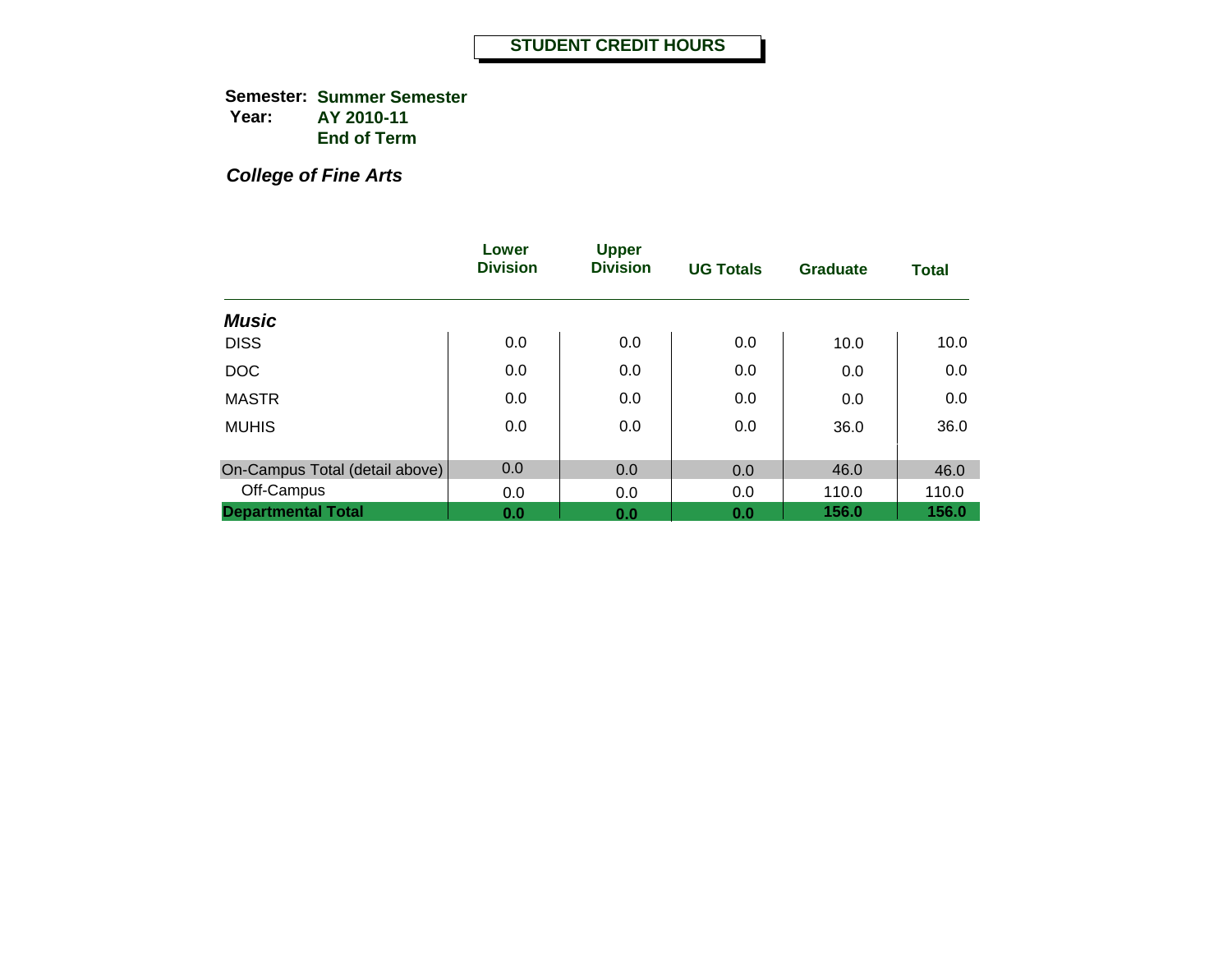**Semester: Summer Semester Year: AY 2010-11 End of Term**

*College of Fine Arts*

|                                | Lower<br><b>Division</b> | <b>Upper</b><br><b>Division</b> | <b>UG Totals</b> | Graduate | <b>Total</b> |
|--------------------------------|--------------------------|---------------------------------|------------------|----------|--------------|
| <b>Music</b>                   |                          |                                 |                  |          |              |
| <b>DISS</b>                    | 0.0                      | 0.0                             | 0.0              | 10.0     | 10.0         |
| <b>DOC</b>                     | 0.0                      | 0.0                             | 0.0              | 0.0      | 0.0          |
| <b>MASTR</b>                   | 0.0                      | 0.0                             | 0.0              | 0.0      | 0.0          |
| <b>MUHIS</b>                   | 0.0                      | 0.0                             | 0.0              | 36.0     | 36.0         |
| On-Campus Total (detail above) | 0.0                      | 0.0                             | 0.0              | 46.0     | 46.0         |
| Off-Campus                     | 0.0                      | 0.0                             | 0.0              | 110.0    | 110.0        |
| <b>Departmental Total</b>      | 0.0                      | 0.0                             | 0.0              | 156.0    | 156.0        |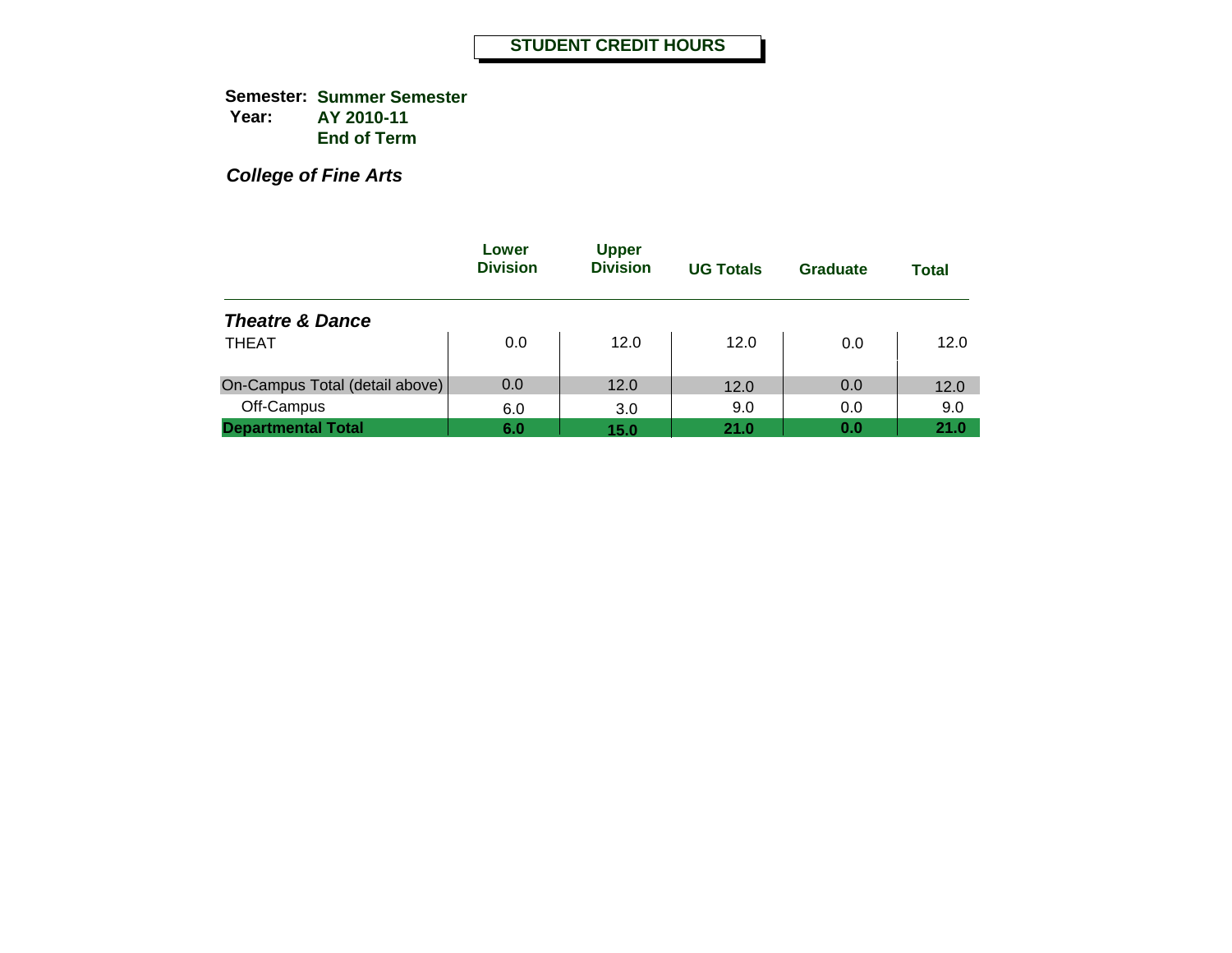**Semester: Summer Semester Year: AY 2010-11 End of Term**

*College of Fine Arts*

|                                | Lower<br><b>Division</b> | <b>Upper</b><br><b>Division</b> | <b>UG Totals</b> | <b>Graduate</b> | <b>Total</b> |
|--------------------------------|--------------------------|---------------------------------|------------------|-----------------|--------------|
| <b>Theatre &amp; Dance</b>     |                          |                                 |                  |                 |              |
| <b>THEAT</b>                   | 0.0                      | 12.0                            | 12.0             | 0.0             | 12.0         |
| On-Campus Total (detail above) | 0.0                      | 12.0                            | 12.0             | 0.0             | 12.0         |
| Off-Campus                     | 6.0                      | 3.0                             | 9.0              | 0.0             | 9.0          |
| <b>Departmental Total</b>      | 6.0                      | 15.0                            | 21.0             | 0.0             | 21.0         |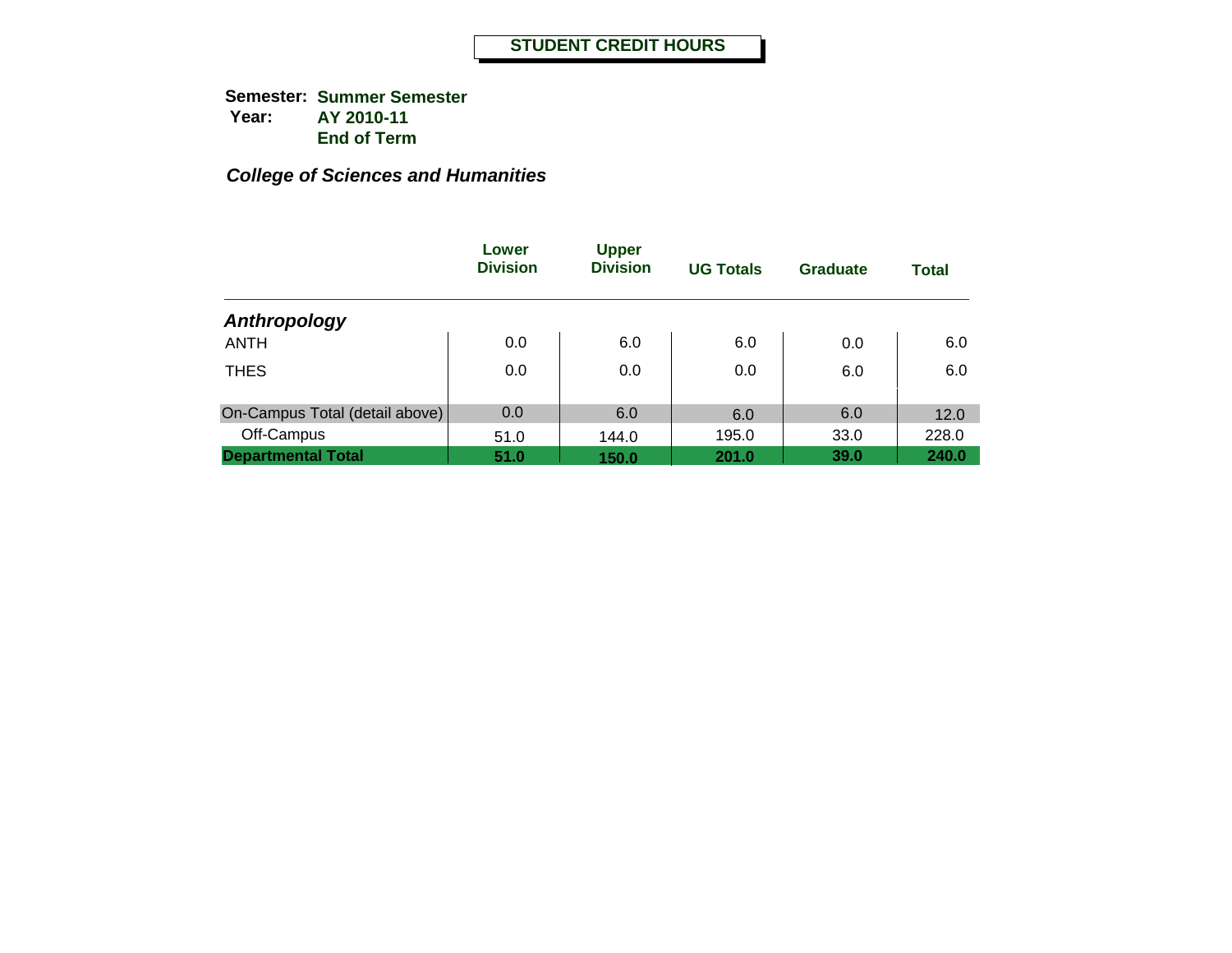|                                | Lower<br><b>Division</b> | <b>Upper</b><br><b>Division</b> | <b>UG Totals</b> | <b>Graduate</b> | <b>Total</b> |
|--------------------------------|--------------------------|---------------------------------|------------------|-----------------|--------------|
| Anthropology                   |                          |                                 |                  |                 |              |
| <b>ANTH</b>                    | 0.0                      | 6.0                             | 6.0              | 0.0             | 6.0          |
| <b>THES</b>                    | 0.0                      | 0.0                             | 0.0              | 6.0             | 6.0          |
| On-Campus Total (detail above) | 0.0                      | 6.0                             | 6.0              | 6.0             | 12.0         |
| Off-Campus                     | 51.0                     | 144.0                           | 195.0            | 33.0            | 228.0        |
| <b>Departmental Total</b>      | 51.0                     | 150.0                           | 201.0            | 39.0            | 240.0        |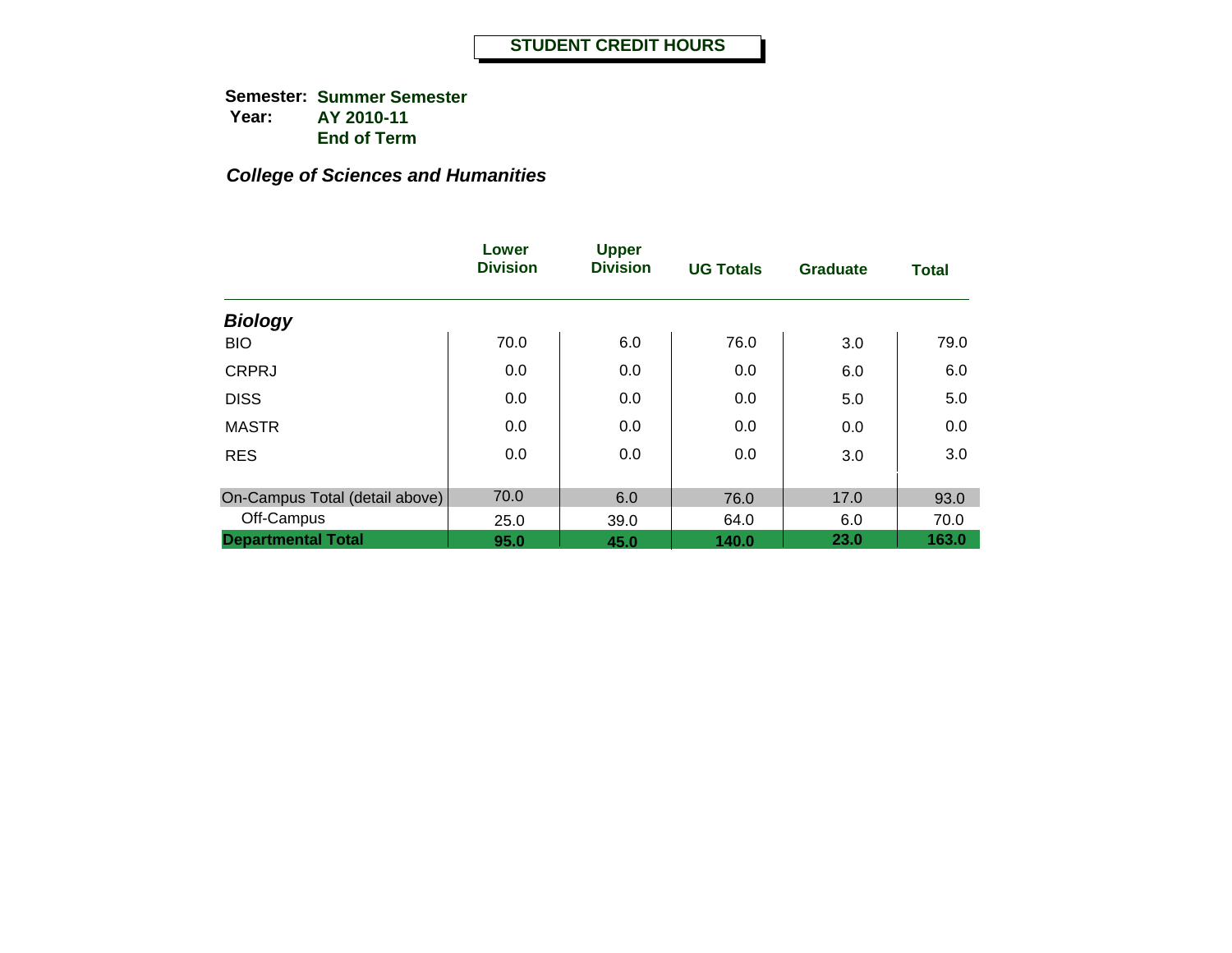|                                | Lower<br><b>Division</b> | <b>Upper</b><br><b>Division</b> | <b>UG Totals</b> | <b>Graduate</b> | <b>Total</b> |
|--------------------------------|--------------------------|---------------------------------|------------------|-----------------|--------------|
| <b>Biology</b>                 |                          |                                 |                  |                 |              |
| <b>BIO</b>                     | 70.0                     | 6.0                             | 76.0             | 3.0             | 79.0         |
| <b>CRPRJ</b>                   | 0.0                      | 0.0                             | 0.0              | 6.0             | 6.0          |
| <b>DISS</b>                    | 0.0                      | 0.0                             | 0.0              | 5.0             | 5.0          |
| <b>MASTR</b>                   | 0.0                      | 0.0                             | 0.0              | 0.0             | 0.0          |
| <b>RES</b>                     | 0.0                      | 0.0                             | 0.0              | 3.0             | 3.0          |
| On-Campus Total (detail above) | 70.0                     | 6.0                             | 76.0             | 17.0            | 93.0         |
| Off-Campus                     | 25.0                     | 39.0                            | 64.0             | 6.0             | 70.0         |
| <b>Departmental Total</b>      | 95.0                     | 45.0                            | 140.0            | 23.0            | 163.0        |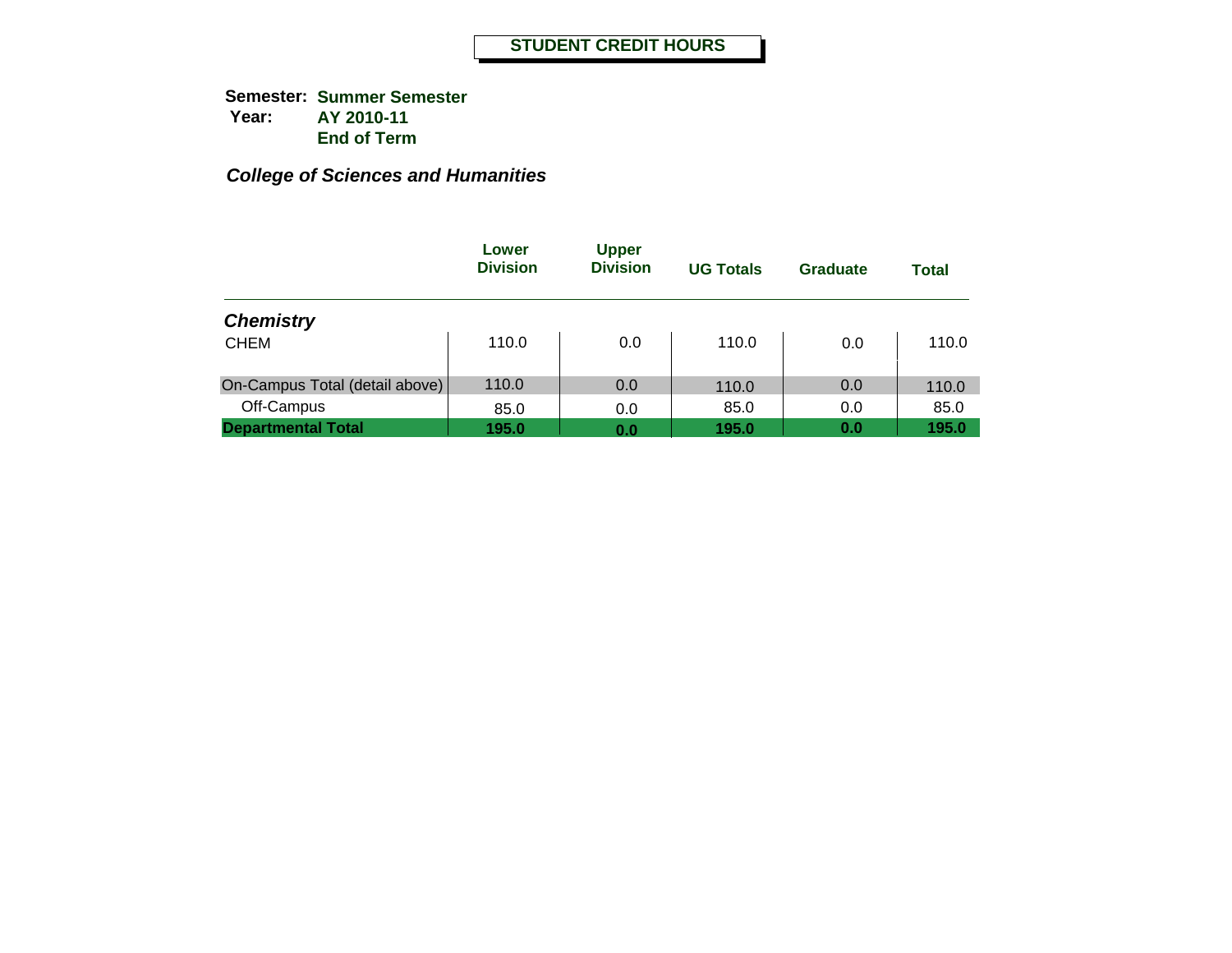|                                | Lower<br><b>Division</b> | <b>Upper</b><br><b>Division</b> | <b>UG Totals</b> | Graduate | <b>Total</b> |
|--------------------------------|--------------------------|---------------------------------|------------------|----------|--------------|
| <b>Chemistry</b>               |                          |                                 |                  |          |              |
| <b>CHEM</b>                    | 110.0                    | 0.0                             | 110.0            | 0.0      | 110.0        |
| On-Campus Total (detail above) | 110.0                    | 0.0                             | 110.0            | 0.0      | 110.0        |
| Off-Campus                     | 85.0                     | 0.0                             | 85.0             | 0.0      | 85.0         |
| <b>Departmental Total</b>      | 195.0                    | 0.0                             | 195.0            | 0.0      | 195.0        |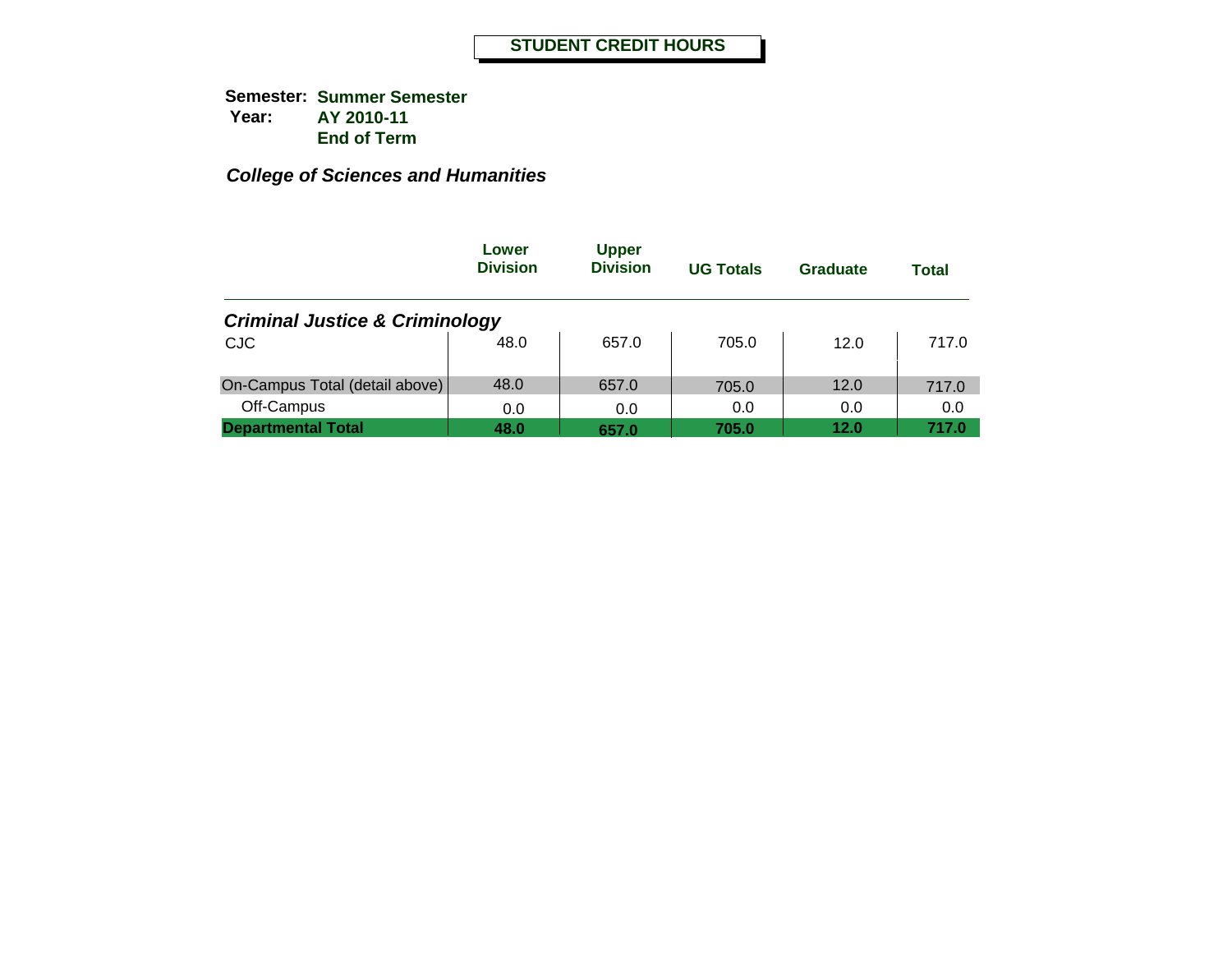|                                           | Lower<br><b>Division</b> | <b>Upper</b><br><b>Division</b> | <b>UG Totals</b> | Graduate | <b>Total</b> |
|-------------------------------------------|--------------------------|---------------------------------|------------------|----------|--------------|
| <b>Criminal Justice &amp; Criminology</b> |                          |                                 |                  |          |              |
| <b>CJC</b>                                | 48.0                     | 657.0                           | 705.0            | 12.0     | 717.0        |
| On-Campus Total (detail above)            | 48.0                     | 657.0                           | 705.0            | 12.0     | 717.0        |
| Off-Campus                                | 0.0                      | 0.0                             | 0.0              | 0.0      | 0.0          |
| <b>Departmental Total</b>                 | 48.0                     | 657.0                           | 705.0            | 12.0     | 717.0        |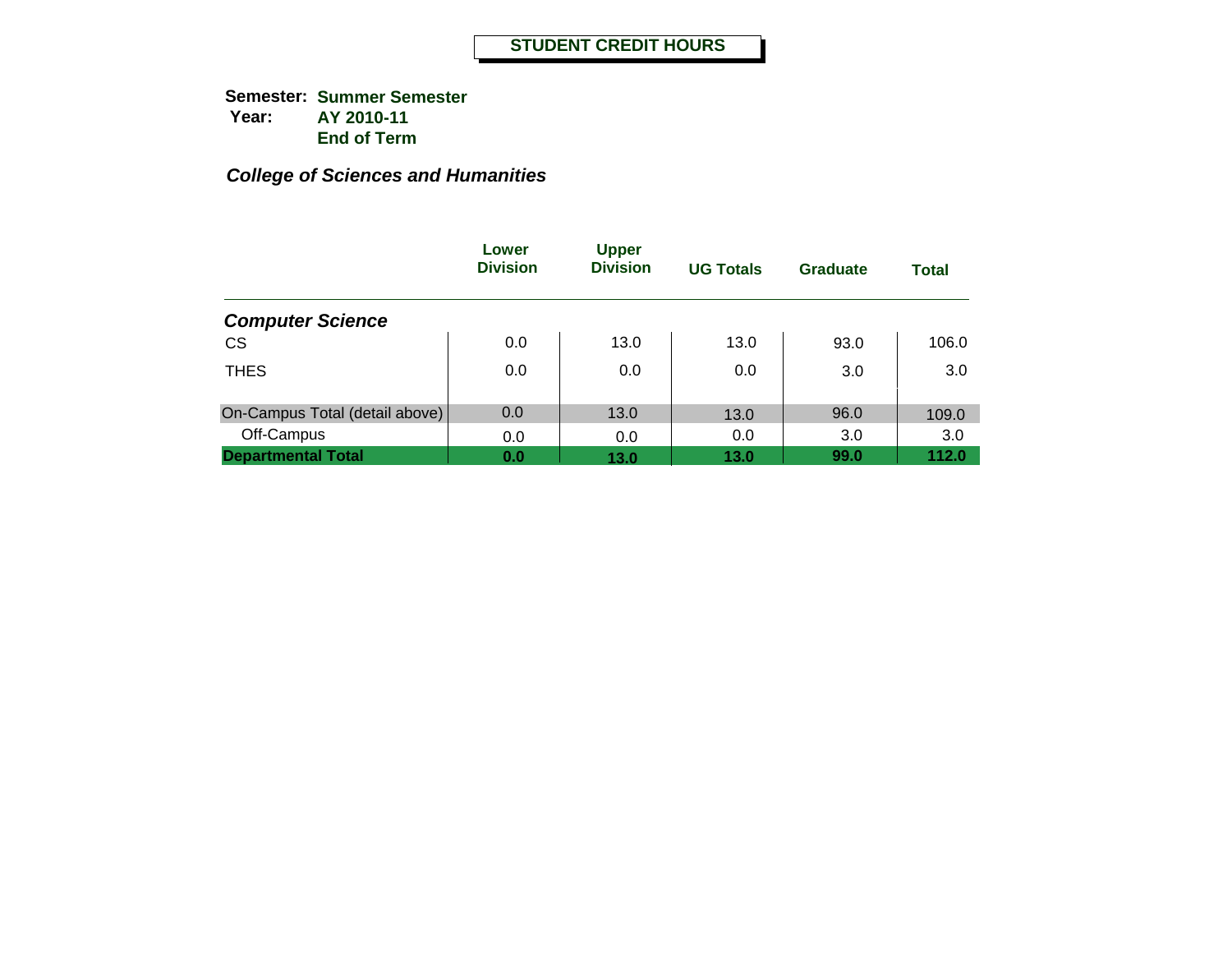|                                | Lower<br><b>Division</b> | <b>Upper</b><br><b>Division</b> | <b>UG Totals</b> | <b>Graduate</b> | <b>Total</b> |
|--------------------------------|--------------------------|---------------------------------|------------------|-----------------|--------------|
| <b>Computer Science</b>        |                          |                                 |                  |                 |              |
| <b>CS</b>                      | 0.0                      | 13.0                            | 13.0             | 93.0            | 106.0        |
| <b>THES</b>                    | 0.0                      | 0.0                             | 0.0              | 3.0             | 3.0          |
| On-Campus Total (detail above) | 0.0                      | 13.0                            | 13.0             | 96.0            | 109.0        |
| Off-Campus                     | 0.0                      | 0.0                             | 0.0              | 3.0             | 3.0          |
| <b>Departmental Total</b>      | 0.0                      | 13.0                            | 13.0             | 99.0            | 112.0        |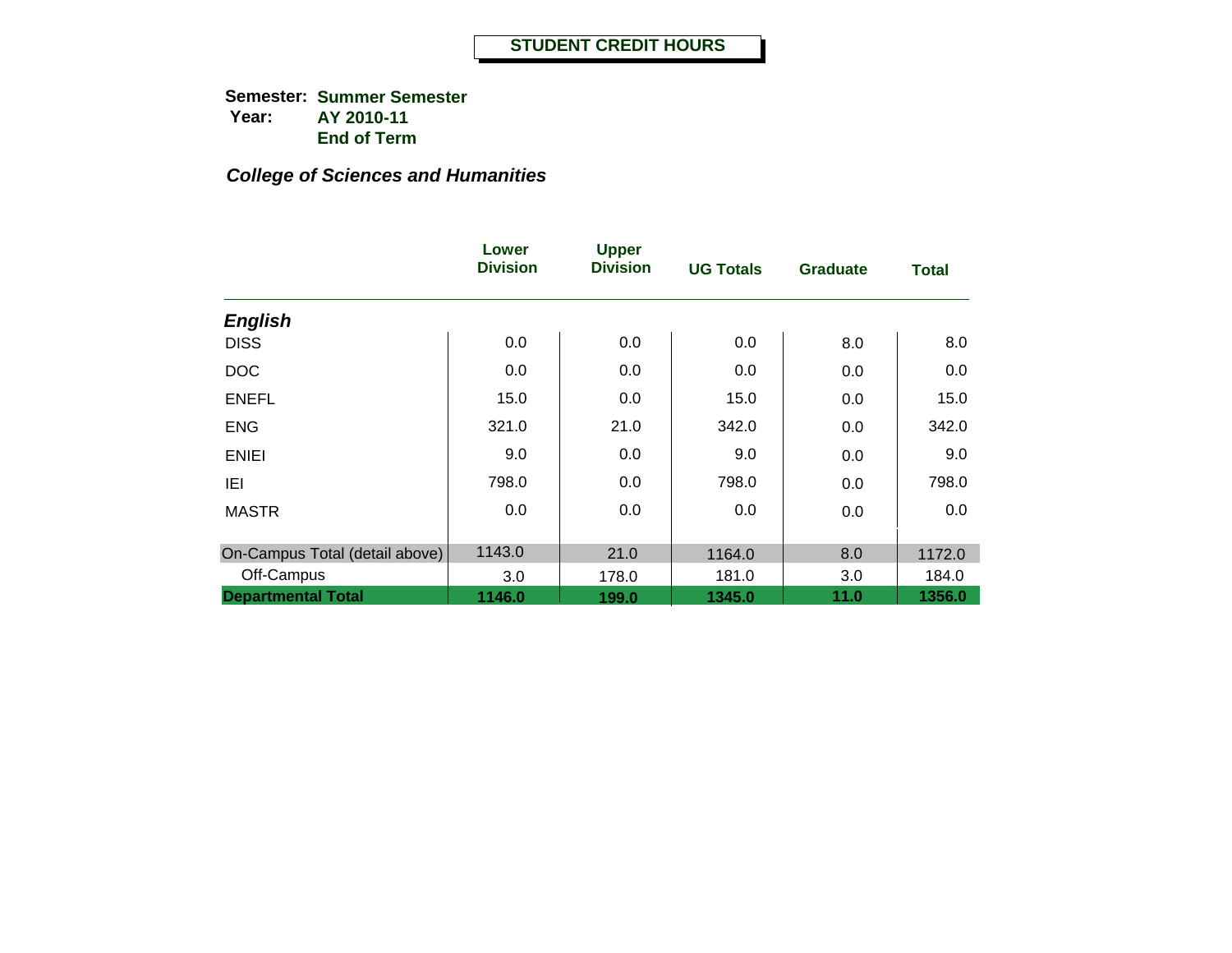|                                | Lower<br><b>Division</b> | <b>Upper</b><br><b>Division</b> | <b>UG Totals</b> | <b>Graduate</b> | <b>Total</b> |
|--------------------------------|--------------------------|---------------------------------|------------------|-----------------|--------------|
| <b>English</b>                 |                          |                                 |                  |                 |              |
| <b>DISS</b>                    | 0.0                      | 0.0                             | 0.0              | 8.0             | 8.0          |
| <b>DOC</b>                     | 0.0                      | 0.0                             | 0.0              | 0.0             | 0.0          |
| <b>ENEFL</b>                   | 15.0                     | 0.0                             | 15.0             | 0.0             | 15.0         |
| <b>ENG</b>                     | 321.0                    | 21.0                            | 342.0            | 0.0             | 342.0        |
| <b>ENIEI</b>                   | 9.0                      | 0.0                             | 9.0              | 0.0             | 9.0          |
| IEI                            | 798.0                    | 0.0                             | 798.0            | 0.0             | 798.0        |
| <b>MASTR</b>                   | 0.0                      | 0.0                             | 0.0              | 0.0             | 0.0          |
| On-Campus Total (detail above) | 1143.0                   | 21.0                            | 1164.0           | 8.0             | 1172.0       |
| Off-Campus                     | 3.0                      | 178.0                           | 181.0            | 3.0             | 184.0        |
| <b>Departmental Total</b>      | 1146.0                   | 199.0                           | 1345.0           | 11.0            | 1356.0       |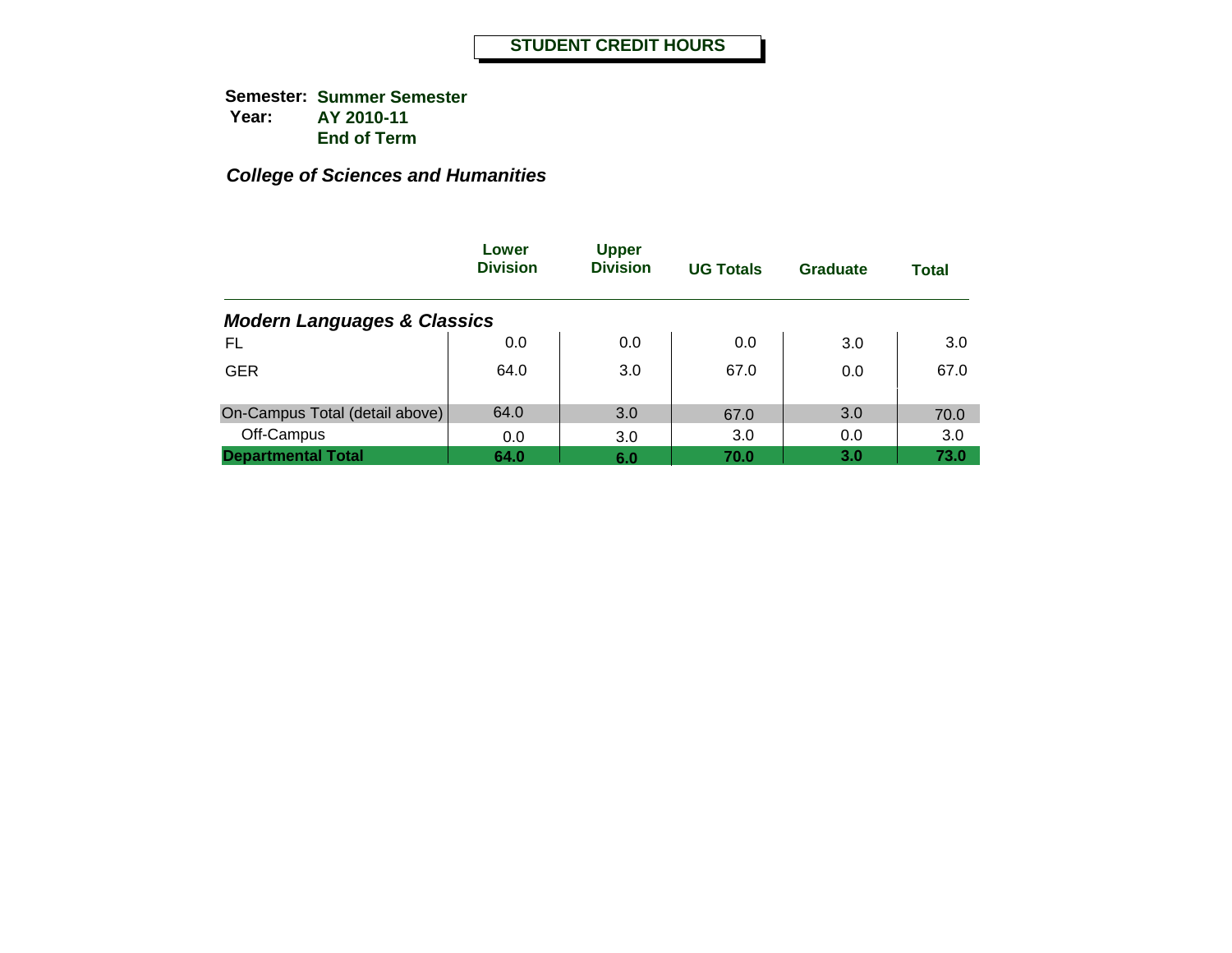|                                        | Lower<br><b>Division</b> | <b>Upper</b><br><b>Division</b> | <b>UG Totals</b> | <b>Graduate</b> | <b>Total</b> |
|----------------------------------------|--------------------------|---------------------------------|------------------|-----------------|--------------|
| <b>Modern Languages &amp; Classics</b> |                          |                                 |                  |                 |              |
| FL                                     | 0.0                      | 0.0                             | 0.0              | 3.0             | 3.0          |
| <b>GER</b>                             | 64.0                     | 3.0                             | 67.0             | 0.0             | 67.0         |
| On-Campus Total (detail above)         | 64.0                     | 3.0                             | 67.0             | 3.0             | 70.0         |
| Off-Campus                             | 0.0                      | 3.0                             | 3.0              | 0.0             | 3.0          |
| <b>Departmental Total</b>              | 64.0                     | 6.0                             | 70.0             | 3.0             | 73.0         |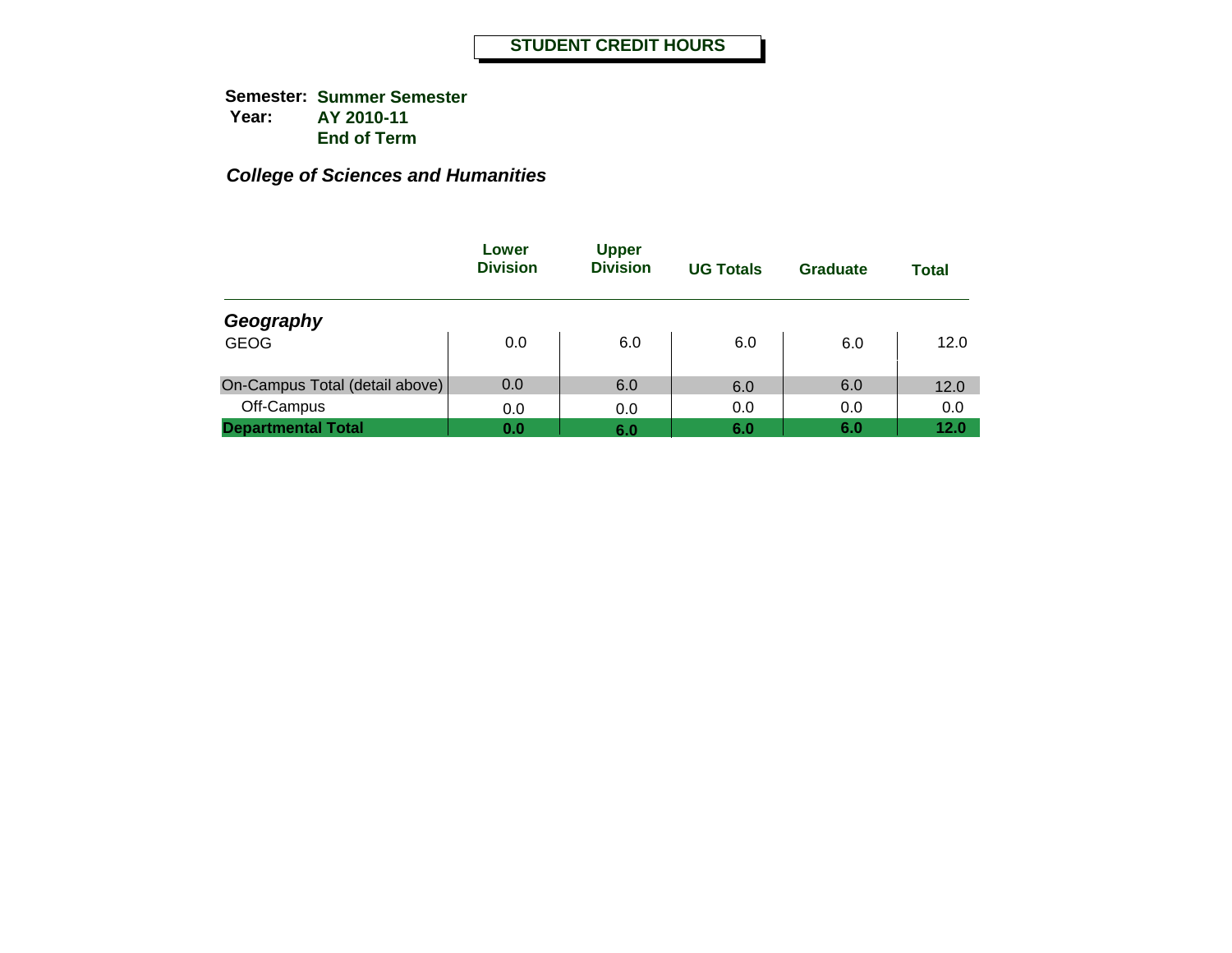|                                | Lower<br><b>Division</b> | <b>Upper</b><br><b>Division</b> | <b>UG Totals</b> | Graduate | <b>Total</b> |
|--------------------------------|--------------------------|---------------------------------|------------------|----------|--------------|
| Geography                      |                          |                                 |                  |          |              |
| <b>GEOG</b>                    | 0.0                      | 6.0                             | 6.0              | 6.0      | 12.0         |
| On-Campus Total (detail above) | 0.0                      | 6.0                             | 6.0              | 6.0      | 12.0         |
| Off-Campus                     | 0.0                      | 0.0                             | 0.0              | 0.0      | 0.0          |
| <b>Departmental Total</b>      | 0.0                      | 6.0                             | 6.0              | 6.0      | 12.0         |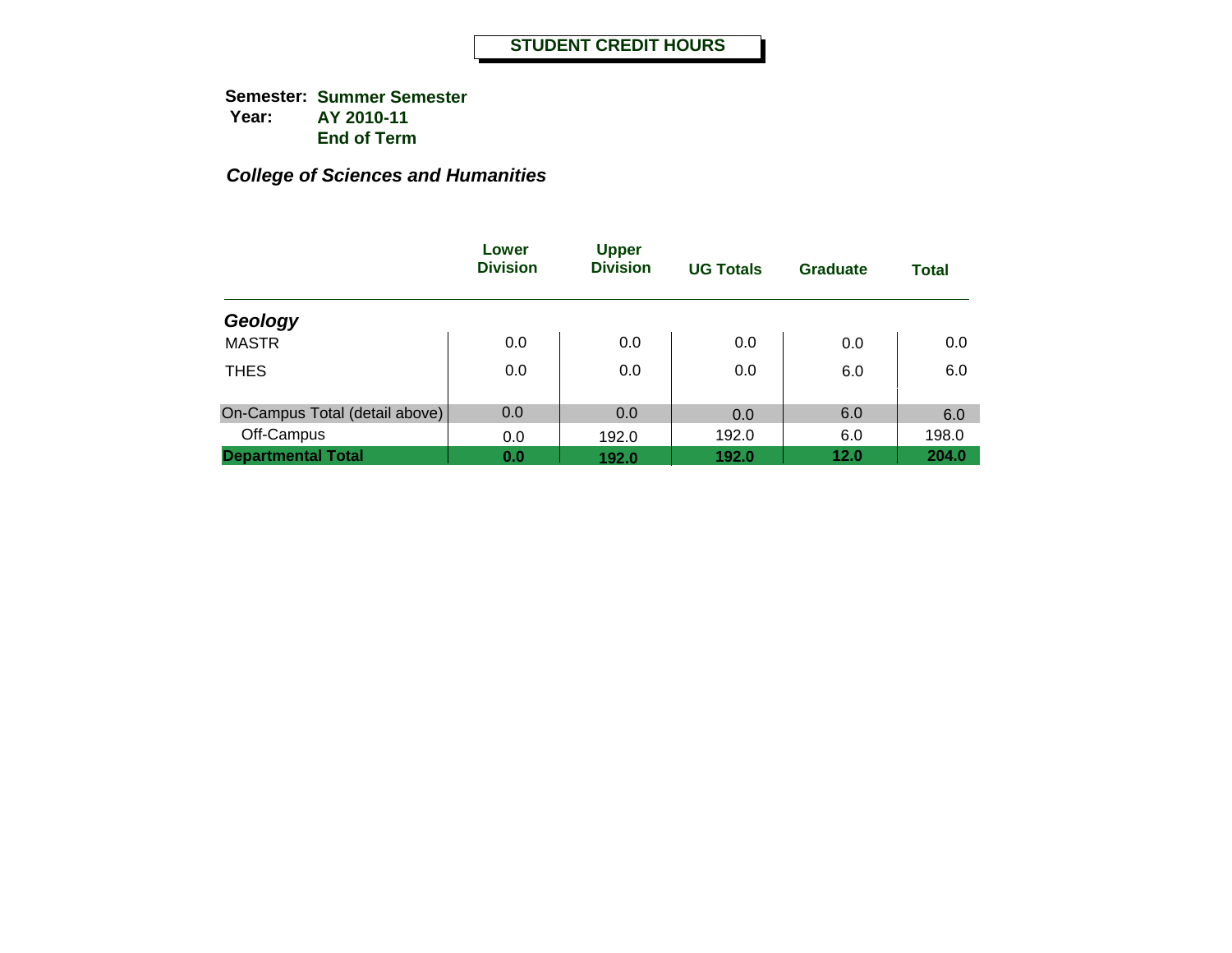|                                | Lower<br><b>Division</b> | <b>Upper</b><br><b>Division</b> | <b>UG Totals</b> | <b>Graduate</b> | <b>Total</b> |
|--------------------------------|--------------------------|---------------------------------|------------------|-----------------|--------------|
| Geology                        |                          |                                 |                  |                 |              |
| <b>MASTR</b>                   | 0.0                      | 0.0                             | 0.0              | 0.0             | 0.0          |
| <b>THES</b>                    | 0.0                      | 0.0                             | 0.0              | 6.0             | 6.0          |
| On-Campus Total (detail above) | 0.0                      | 0.0                             | 0.0              | 6.0             | 6.0          |
| Off-Campus                     | 0.0                      | 192.0                           | 192.0            | 6.0             | 198.0        |
| <b>Departmental Total</b>      | 0.0                      | 192.0                           | 192.0            | 12.0            | 204.0        |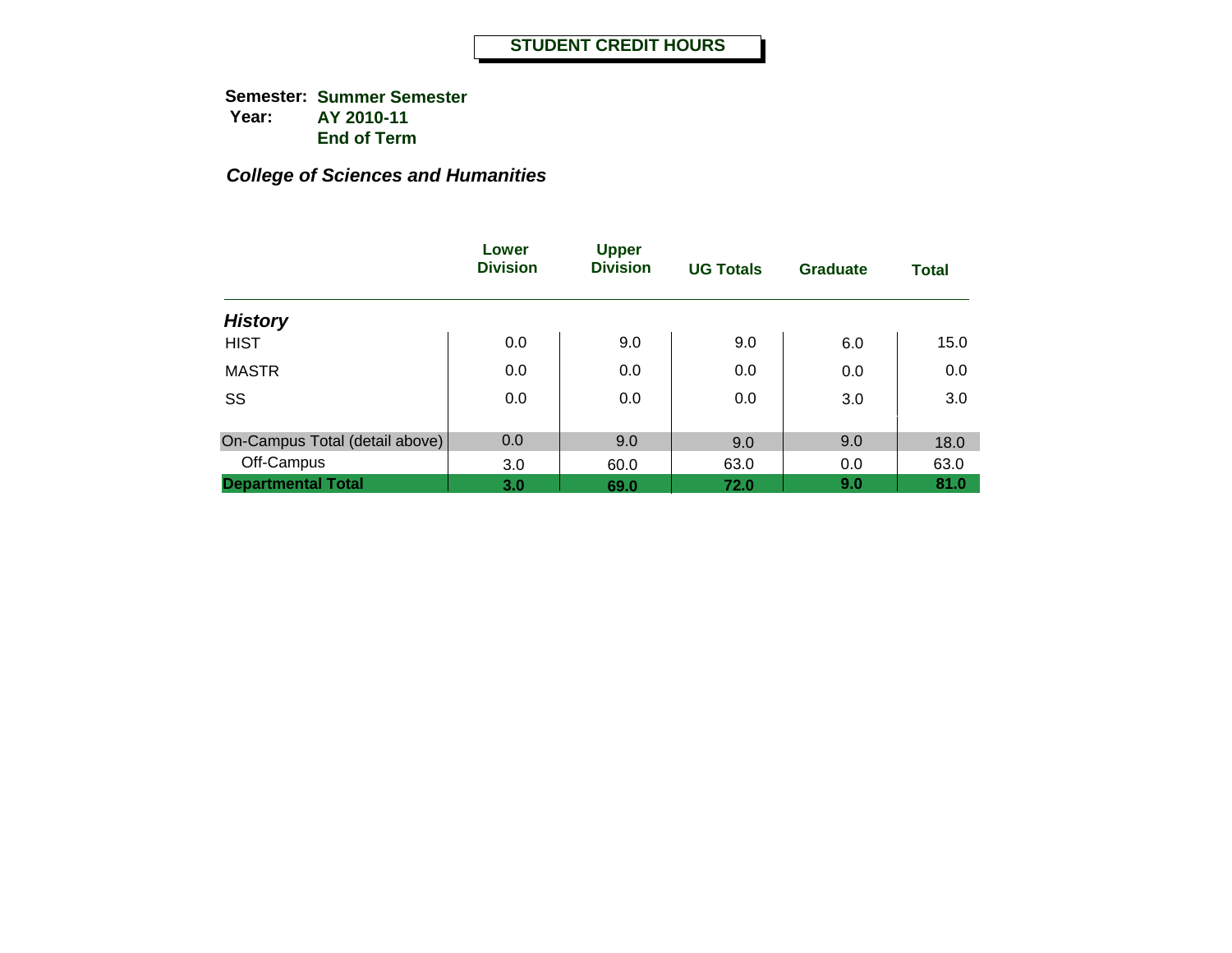|                                | Lower<br><b>Division</b> | <b>Upper</b><br><b>Division</b> | <b>UG Totals</b> | <b>Graduate</b> | <b>Total</b> |
|--------------------------------|--------------------------|---------------------------------|------------------|-----------------|--------------|
| <b>History</b>                 |                          |                                 |                  |                 |              |
| <b>HIST</b>                    | 0.0                      | 9.0                             | 9.0              | 6.0             | 15.0         |
| <b>MASTR</b>                   | 0.0                      | 0.0                             | 0.0              | 0.0             | 0.0          |
| SS                             | 0.0                      | 0.0                             | 0.0              | 3.0             | 3.0          |
|                                | 0.0                      |                                 |                  |                 |              |
| On-Campus Total (detail above) |                          | 9.0                             | 9.0              | 9.0             | 18.0         |
| Off-Campus                     | 3.0                      | 60.0                            | 63.0             | 0.0             | 63.0         |
| <b>Departmental Total</b>      | 3.0                      | 69.0                            | 72.0             | 9.0             | 81.0         |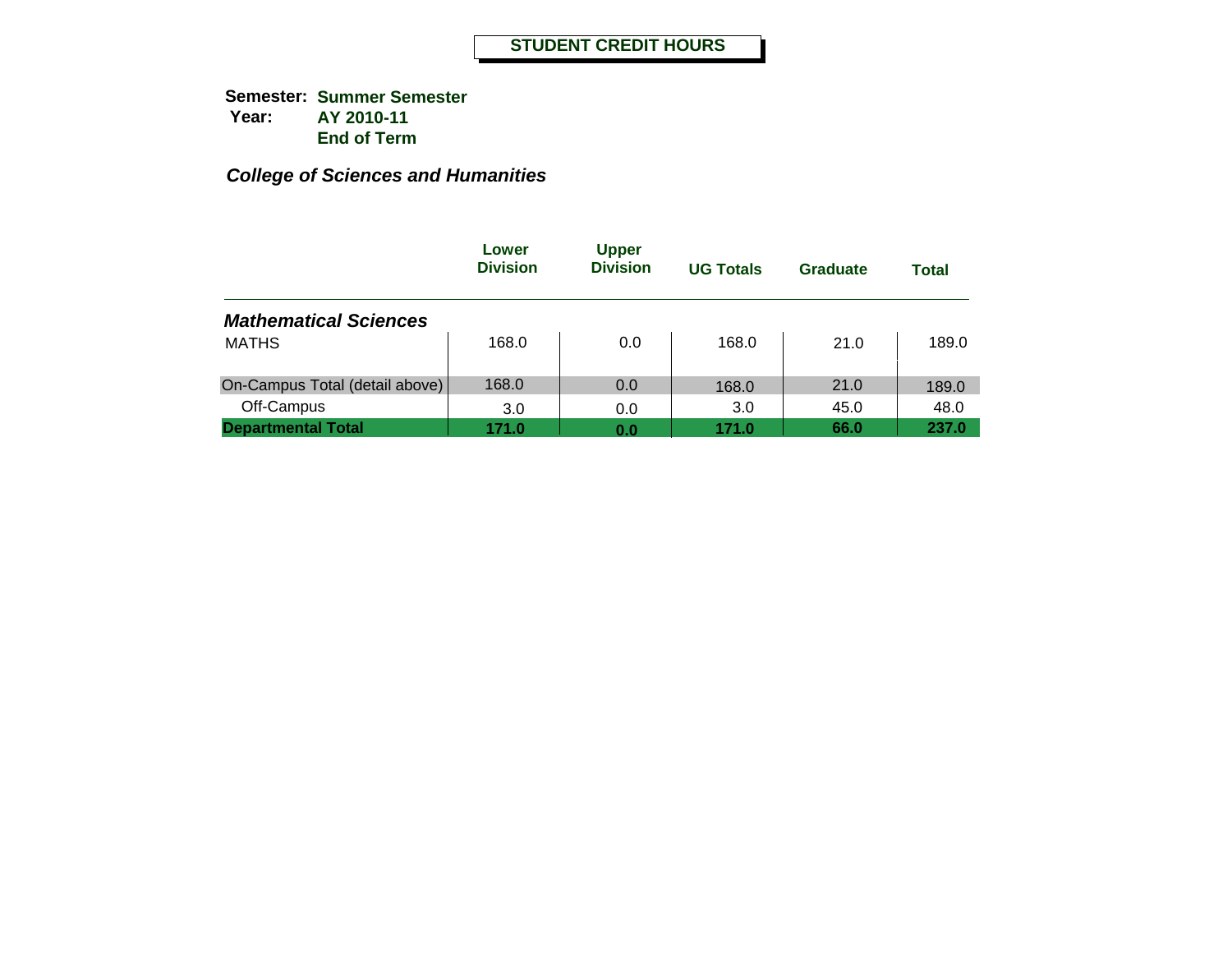|                                | Lower<br><b>Division</b> | <b>Upper</b><br><b>Division</b> | <b>UG Totals</b> | Graduate | Total |
|--------------------------------|--------------------------|---------------------------------|------------------|----------|-------|
| <b>Mathematical Sciences</b>   |                          |                                 |                  |          |       |
| <b>MATHS</b>                   | 168.0                    | 0.0                             | 168.0            | 21.0     | 189.0 |
| On-Campus Total (detail above) | 168.0                    | 0.0                             | 168.0            | 21.0     | 189.0 |
| Off-Campus                     | 3.0                      | 0.0                             | 3.0              | 45.0     | 48.0  |
| <b>Departmental Total</b>      | 171.0                    | 0.0                             | 171.0            | 66.0     | 237.0 |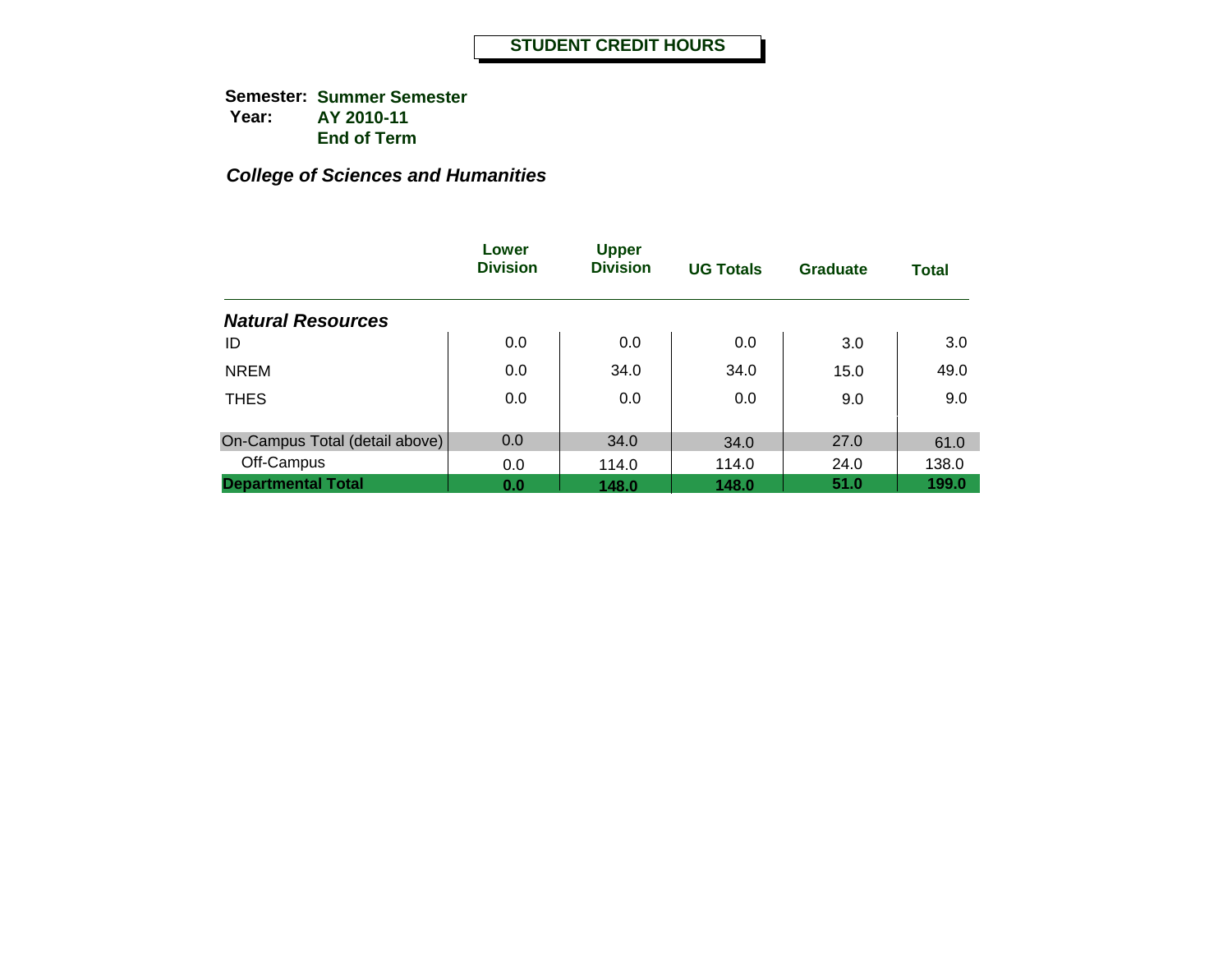|                                | Lower<br><b>Division</b> | <b>Upper</b><br><b>Division</b> | <b>UG Totals</b> | <b>Graduate</b> | <b>Total</b> |
|--------------------------------|--------------------------|---------------------------------|------------------|-----------------|--------------|
| <b>Natural Resources</b>       |                          |                                 |                  |                 |              |
| ID                             | 0.0                      | 0.0                             | 0.0              | 3.0             | 3.0          |
| <b>NREM</b>                    | 0.0                      | 34.0                            | 34.0             | 15.0            | 49.0         |
| <b>THES</b>                    | 0.0                      | 0.0                             | 0.0              | 9.0             | 9.0          |
| On-Campus Total (detail above) | 0.0                      | 34.0                            | 34.0             | 27.0            | 61.0         |
| Off-Campus                     | 0.0                      | 114.0                           | 114.0            | 24.0            | 138.0        |
| <b>Departmental Total</b>      | 0.0                      | 148.0                           | 148.0            | 51.0            | 199.0        |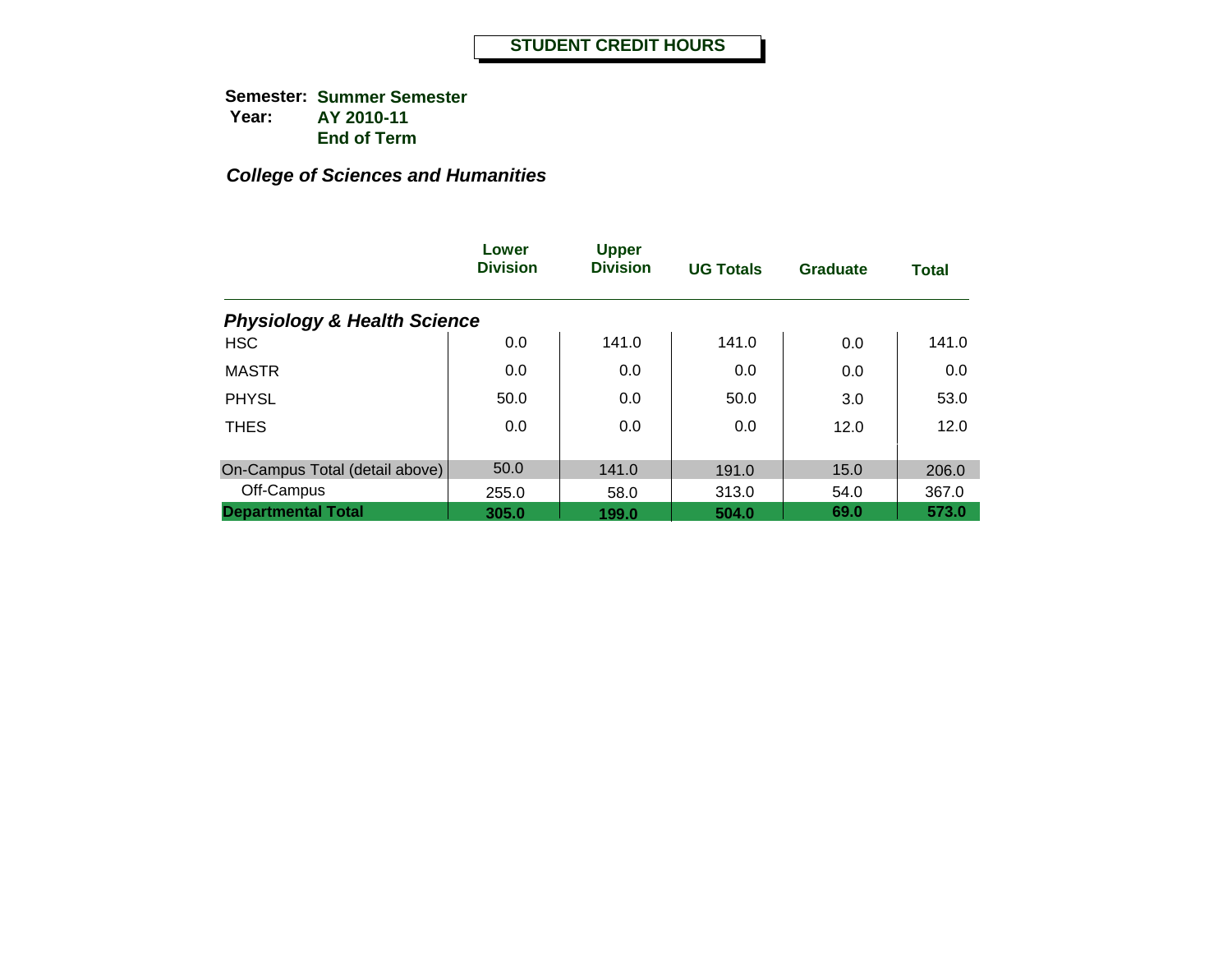|                                        | Lower<br><b>Division</b> | <b>Upper</b><br><b>Division</b> | <b>UG Totals</b> | <b>Graduate</b> | <b>Total</b> |
|----------------------------------------|--------------------------|---------------------------------|------------------|-----------------|--------------|
| <b>Physiology &amp; Health Science</b> |                          |                                 |                  |                 |              |
| <b>HSC</b>                             | 0.0                      | 141.0                           | 141.0            | 0.0             | 141.0        |
| <b>MASTR</b>                           | 0.0                      | 0.0                             | 0.0              | 0.0             | 0.0          |
| <b>PHYSL</b>                           | 50.0                     | 0.0                             | 50.0             | 3.0             | 53.0         |
| <b>THES</b>                            | 0.0                      | 0.0                             | 0.0              | 12.0            | 12.0         |
| On-Campus Total (detail above)         | 50.0                     | 141.0                           | 191.0            | 15.0            | 206.0        |
| Off-Campus                             | 255.0                    | 58.0                            | 313.0            | 54.0            | 367.0        |
| <b>Departmental Total</b>              | 305.0                    | 199.0                           | 504.0            | 69.0            | 573.0        |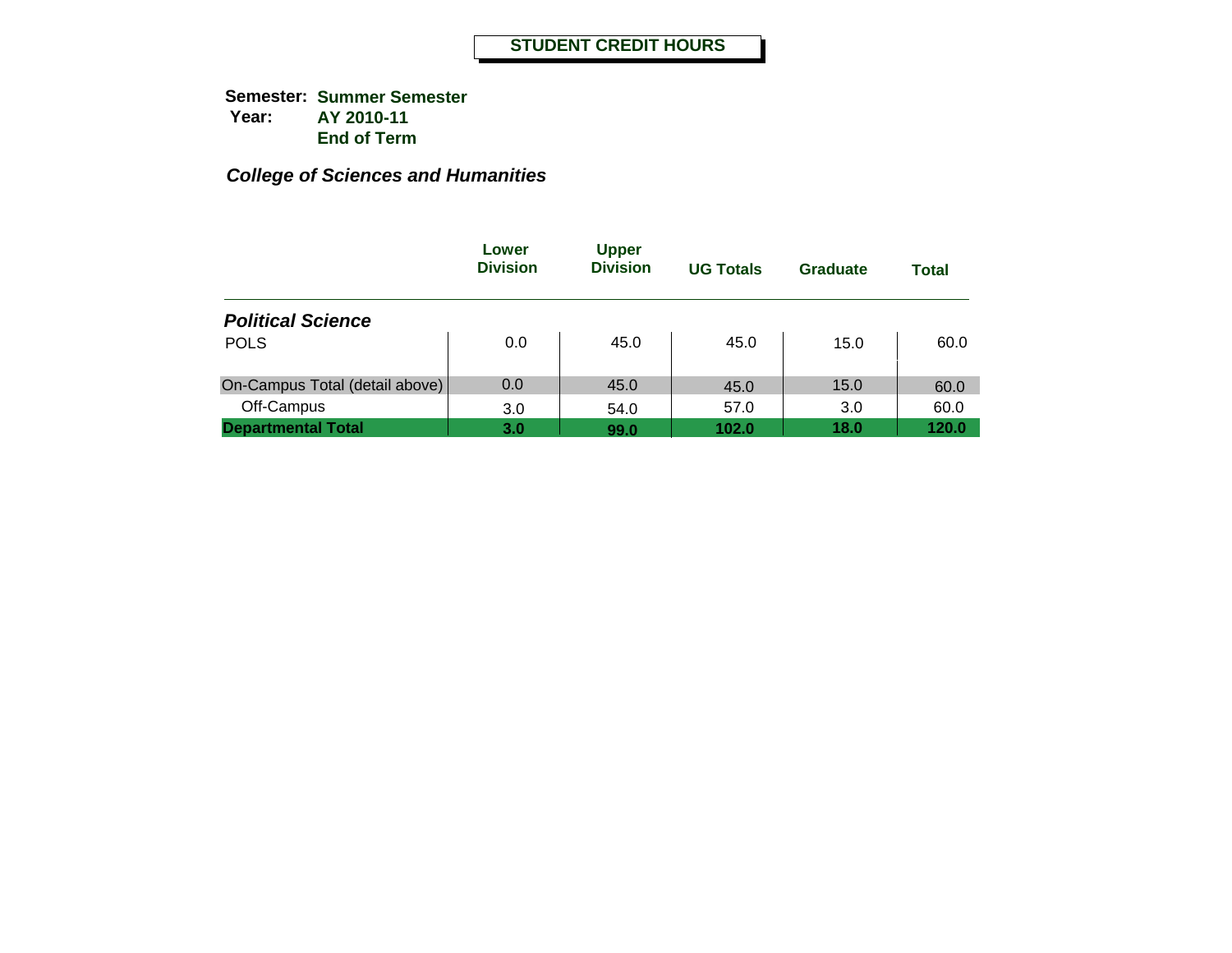|                                | Lower<br><b>Division</b> | <b>Upper</b><br><b>Division</b> | <b>UG Totals</b> | Graduate | Total |
|--------------------------------|--------------------------|---------------------------------|------------------|----------|-------|
| <b>Political Science</b>       |                          |                                 |                  |          |       |
| <b>POLS</b>                    | 0.0                      | 45.0                            | 45.0             | 15.0     | 60.0  |
| On-Campus Total (detail above) | 0.0                      | 45.0                            | 45.0             | 15.0     | 60.0  |
| Off-Campus                     | 3.0                      | 54.0                            | 57.0             | 3.0      | 60.0  |
| <b>Departmental Total</b>      | 3.0                      | 99.0                            | 102.0            | 18.0     | 120.0 |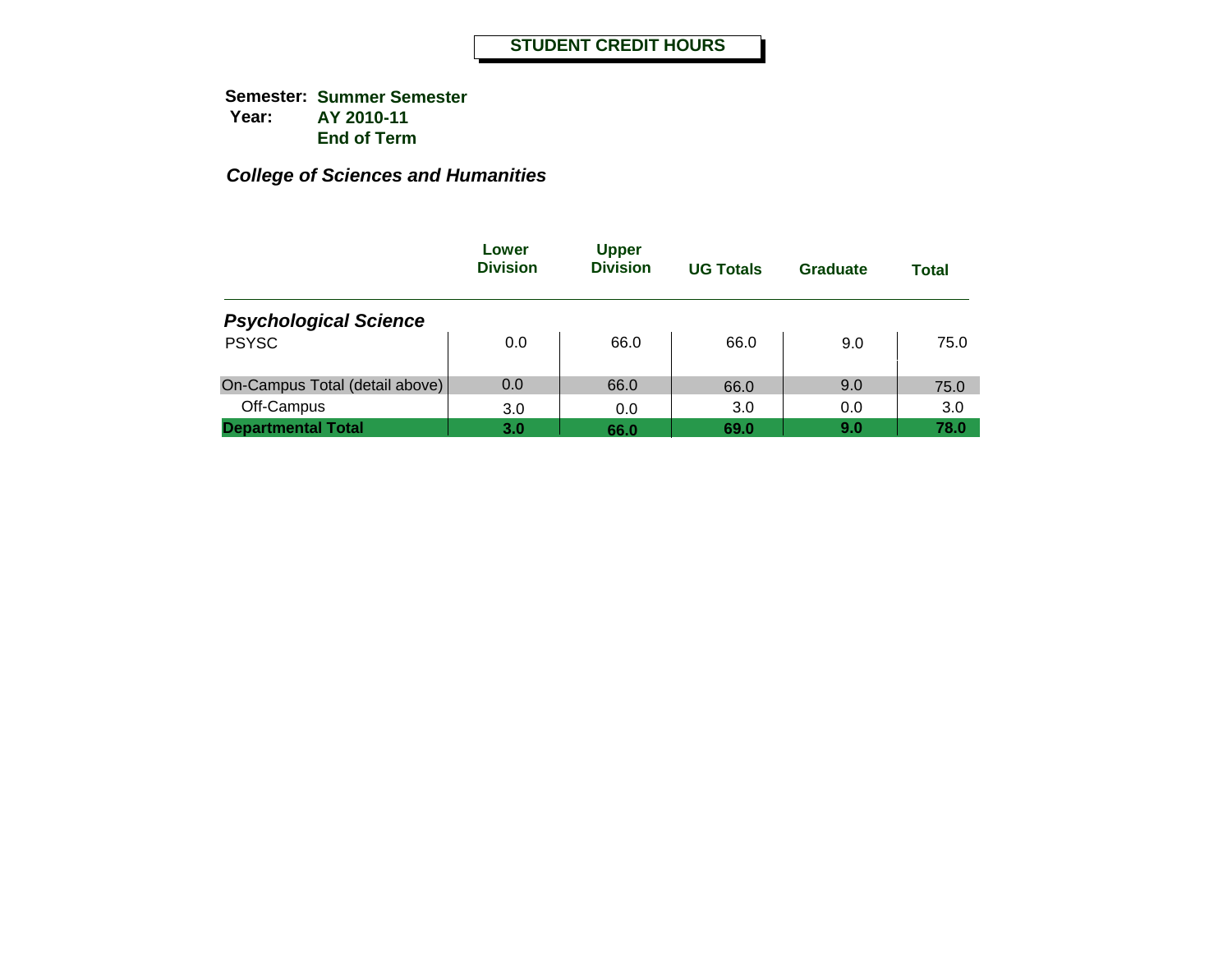|                                | Lower<br><b>Division</b> | <b>Upper</b><br><b>Division</b> | <b>UG Totals</b> | Graduate | <b>Total</b> |
|--------------------------------|--------------------------|---------------------------------|------------------|----------|--------------|
| <b>Psychological Science</b>   |                          |                                 |                  |          |              |
| <b>PSYSC</b>                   | 0.0                      | 66.0                            | 66.0             | 9.0      | 75.0         |
| On-Campus Total (detail above) | 0.0                      | 66.0                            | 66.0             | 9.0      | 75.0         |
| Off-Campus                     | 3.0                      | 0.0                             | 3.0              | 0.0      | 3.0          |
| <b>Departmental Total</b>      | 3.0                      | 66.0                            | 69.0             | 9.0      | 78.0         |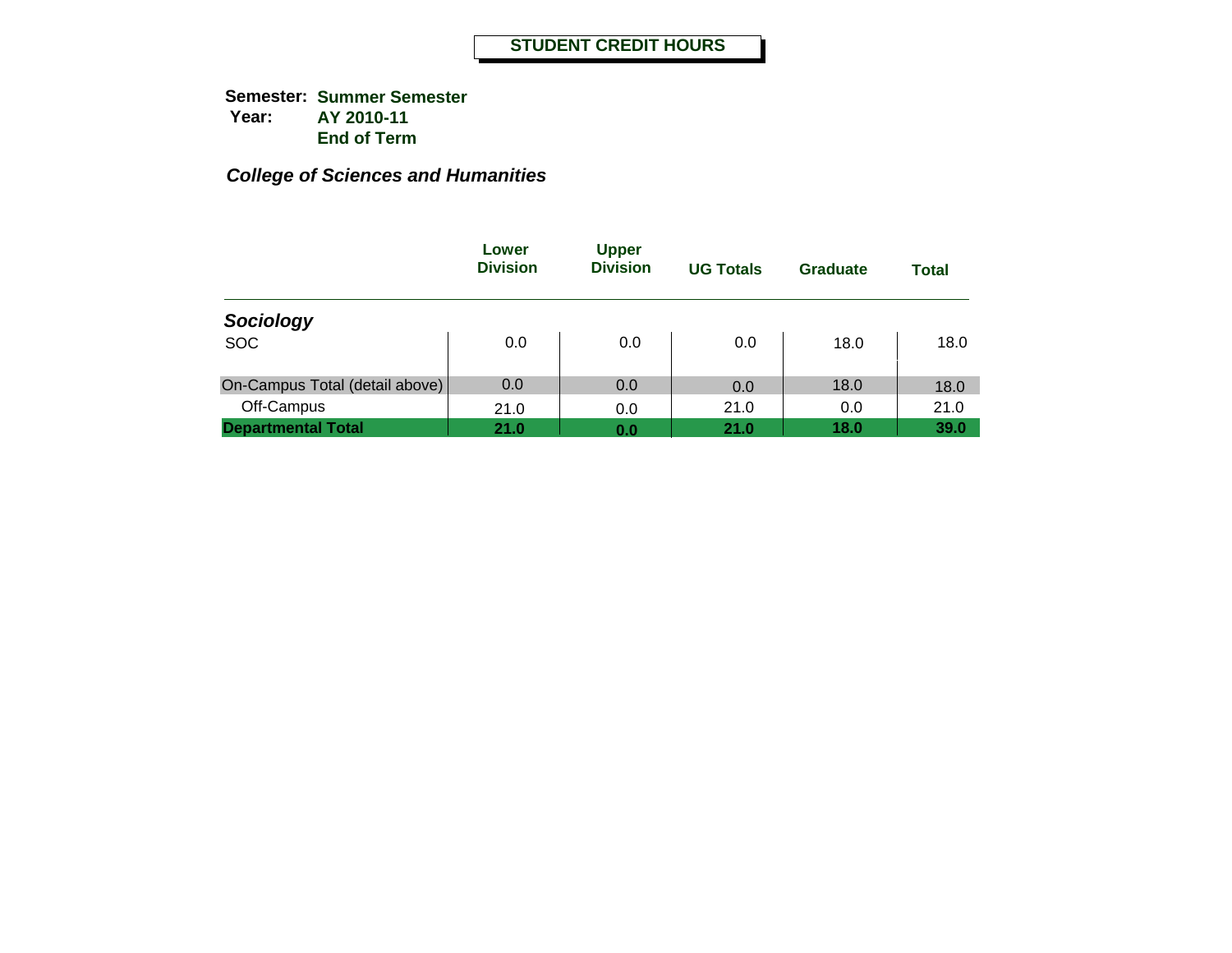|                                | Lower<br><b>Division</b> | <b>Upper</b><br><b>Division</b> | <b>UG Totals</b> | Graduate | <b>Total</b> |
|--------------------------------|--------------------------|---------------------------------|------------------|----------|--------------|
| Sociology                      |                          |                                 |                  |          |              |
| <b>SOC</b>                     | 0.0                      | 0.0                             | 0.0              | 18.0     | 18.0         |
| On-Campus Total (detail above) | 0.0                      | 0.0                             | 0.0              | 18.0     | 18.0         |
| Off-Campus                     | 21.0                     | 0.0                             | 21.0             | 0.0      | 21.0         |
| <b>Departmental Total</b>      | 21.0                     | 0.0                             | 21.0             | 18.0     | 39.0         |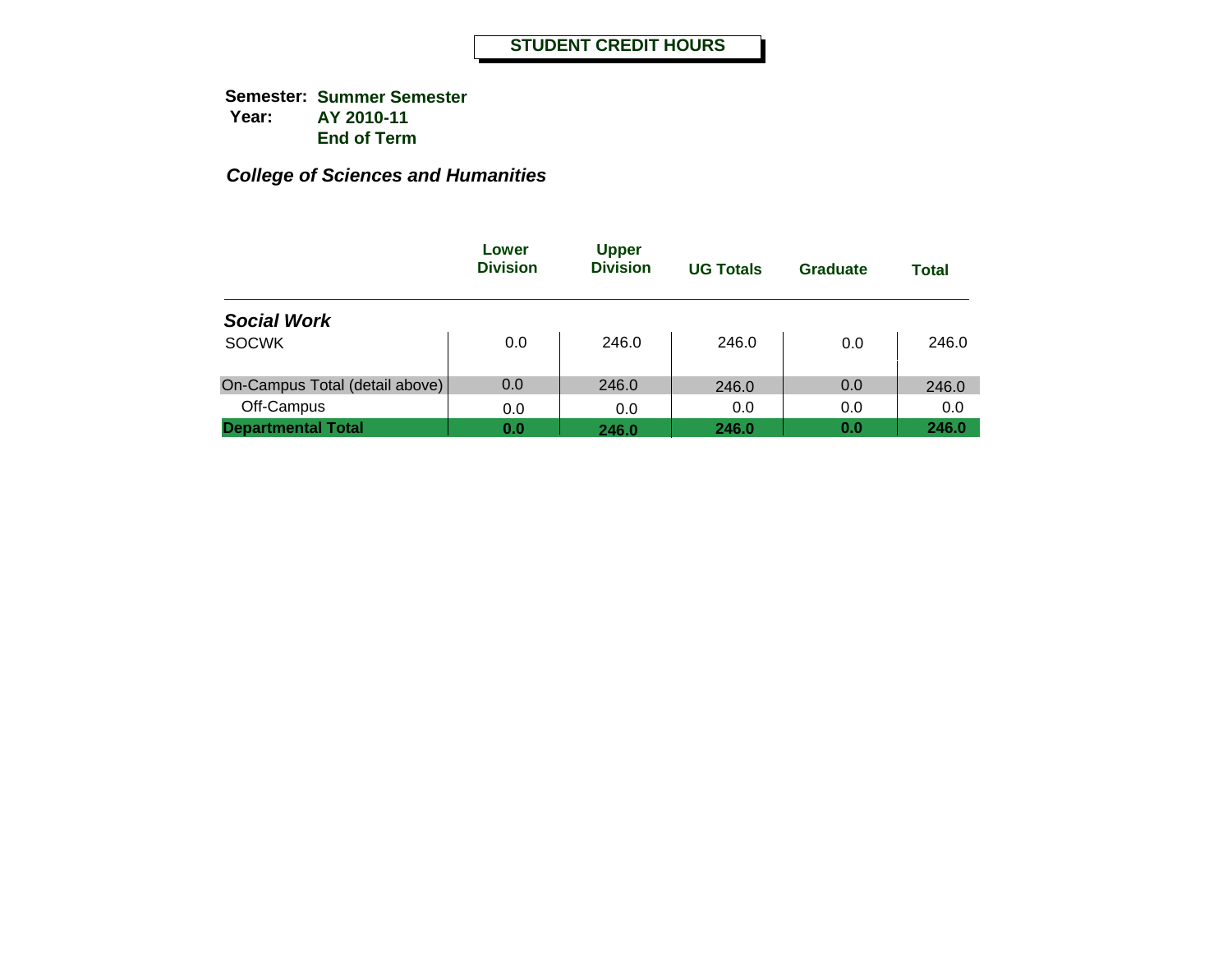|                                | Lower<br><b>Division</b> | <b>Upper</b><br><b>Division</b> | <b>UG Totals</b> | Graduate | Total |
|--------------------------------|--------------------------|---------------------------------|------------------|----------|-------|
| <b>Social Work</b>             |                          |                                 |                  |          |       |
| <b>SOCWK</b>                   | 0.0                      | 246.0                           | 246.0            | 0.0      | 246.0 |
| On-Campus Total (detail above) | 0.0                      | 246.0                           | 246.0            | 0.0      | 246.0 |
| Off-Campus                     | 0.0                      | 0.0                             | 0.0              | 0.0      | 0.0   |
| <b>Departmental Total</b>      | 0.0                      | 246.0                           | 246.0            | 0.0      | 246.0 |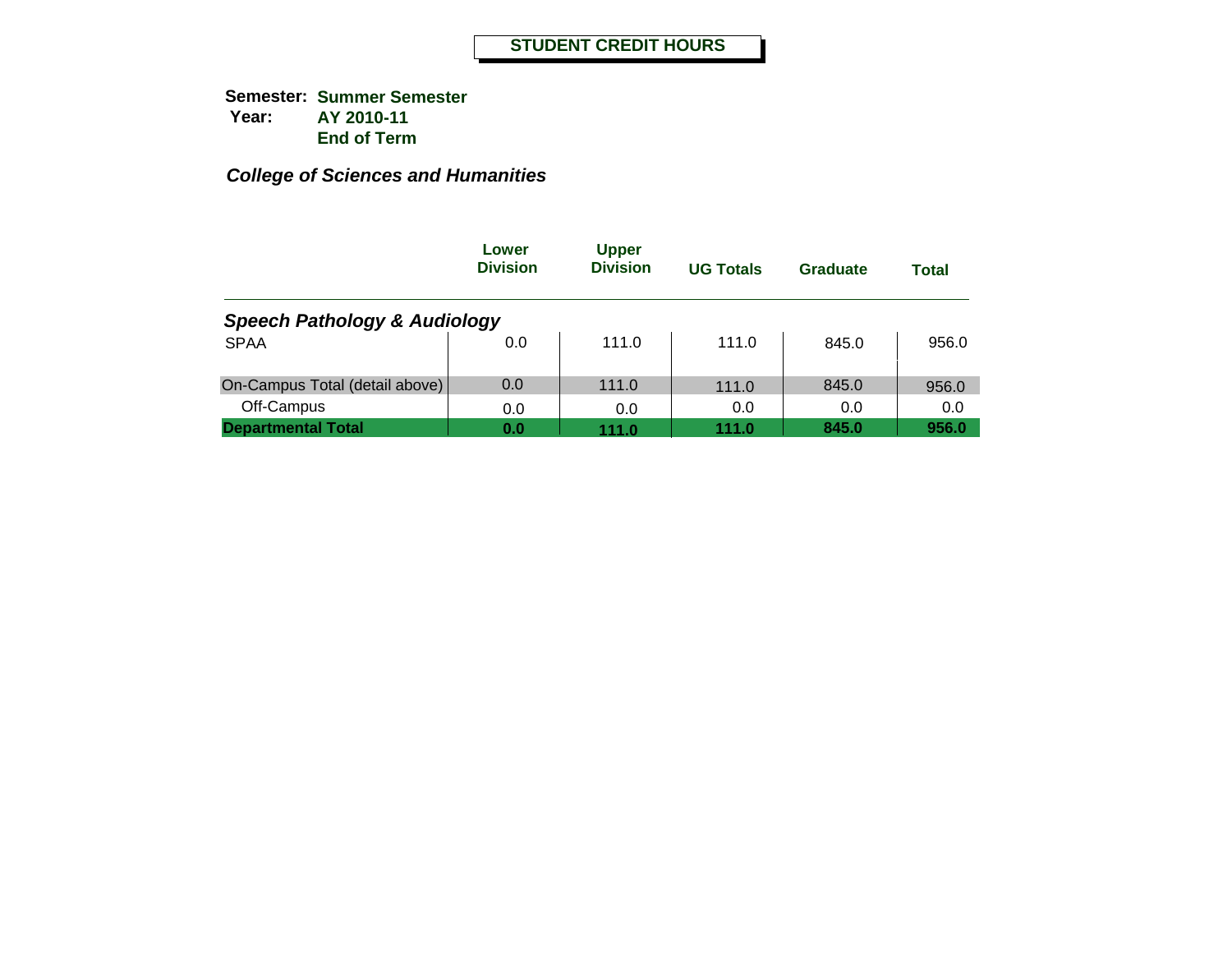|                                         | Lower<br><b>Division</b> | <b>Upper</b><br><b>Division</b> | <b>UG Totals</b> | Graduate | <b>Total</b> |  |  |  |
|-----------------------------------------|--------------------------|---------------------------------|------------------|----------|--------------|--|--|--|
| <b>Speech Pathology &amp; Audiology</b> |                          |                                 |                  |          |              |  |  |  |
| <b>SPAA</b>                             | 0.0                      | 111.0                           | 111.0            | 845.0    | 956.0        |  |  |  |
| On-Campus Total (detail above)          | 0.0                      | 111.0                           | 111.0            | 845.0    | 956.0        |  |  |  |
| Off-Campus                              | 0.0                      | 0.0                             | 0.0              | 0.0      | 0.0          |  |  |  |
| <b>Departmental Total</b>               | 0.0                      | 111.0                           | 111.0            | 845.0    | 956.0        |  |  |  |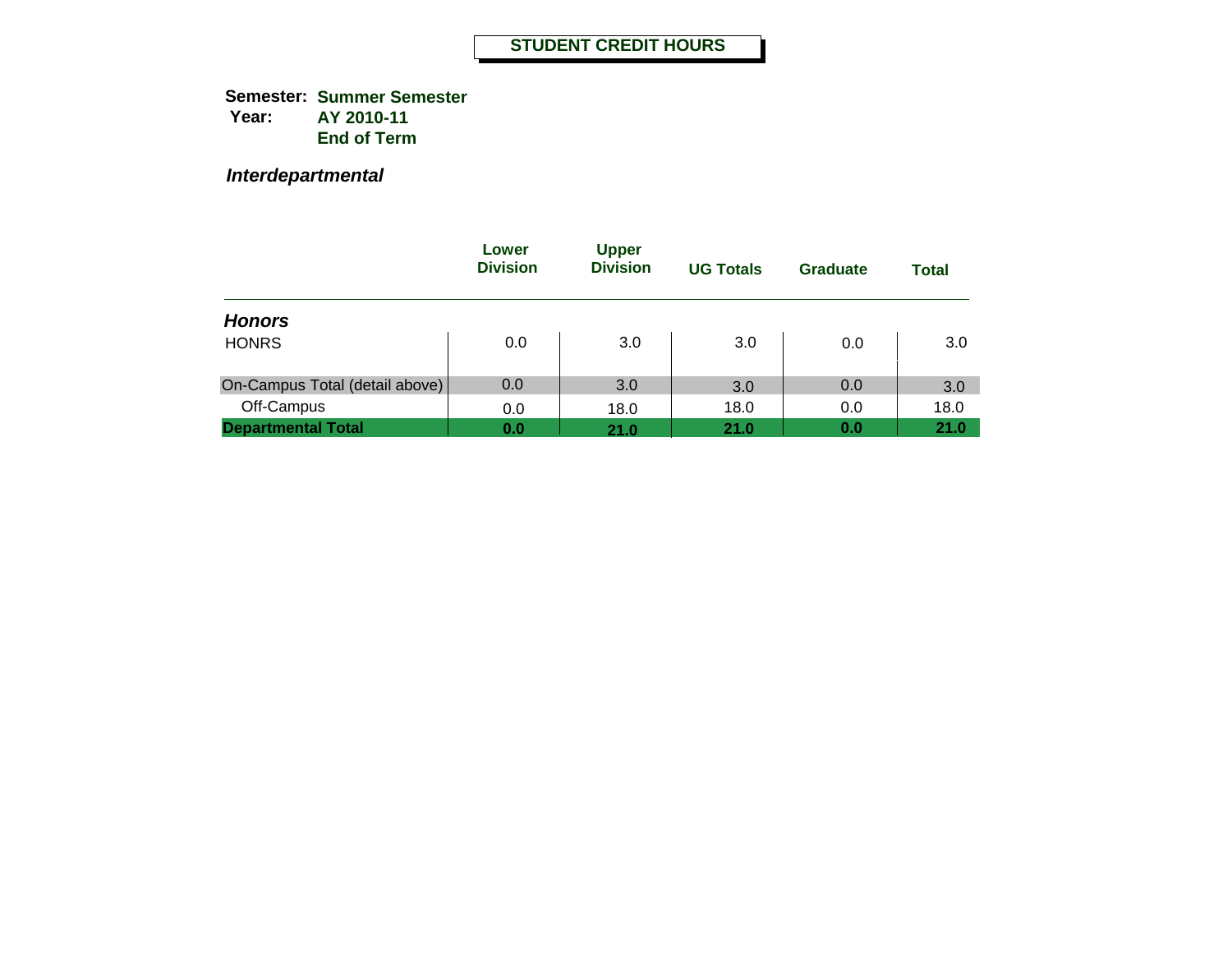**Semester: Summer Semester Year: AY 2010-11 End of Term**

*Interdepartmental*

|                                | Lower<br><b>Division</b> | <b>Upper</b><br><b>Division</b> | <b>UG Totals</b> | <b>Graduate</b> | Total |
|--------------------------------|--------------------------|---------------------------------|------------------|-----------------|-------|
| <b>Honors</b>                  |                          |                                 |                  |                 |       |
| <b>HONRS</b>                   | 0.0                      | 3.0                             | 3.0              | 0.0             | 3.0   |
| On-Campus Total (detail above) | 0.0                      | 3.0                             | 3.0              | 0.0             | 3.0   |
| Off-Campus                     | 0.0                      | 18.0                            | 18.0             | 0.0             | 18.0  |
| <b>Departmental Total</b>      | 0.0                      | 21.0                            | 21.0             | 0.0             | 21.0  |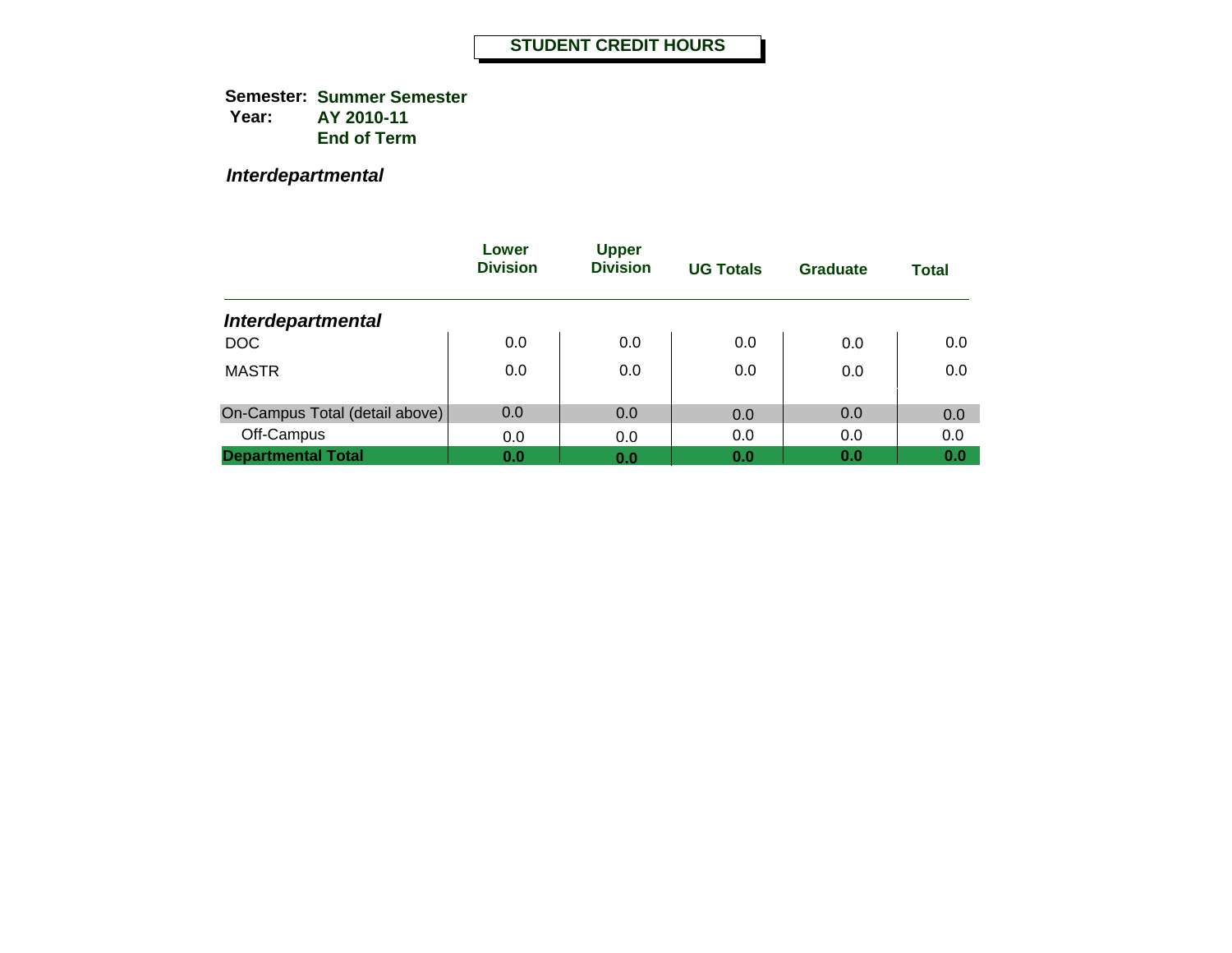**Semester: Summer Semester Year: AY 2010-11 End of Term**

*Interdepartmental*

|                                | Lower<br><b>Division</b> | <b>Upper</b><br><b>Division</b> | <b>UG Totals</b> | Graduate | <b>Total</b> |
|--------------------------------|--------------------------|---------------------------------|------------------|----------|--------------|
| <b>Interdepartmental</b>       |                          |                                 |                  |          |              |
| <b>DOC</b>                     | 0.0                      | 0.0                             | 0.0              | 0.0      | 0.0          |
| <b>MASTR</b>                   | 0.0                      | 0.0                             | 0.0              | 0.0      | 0.0          |
| On-Campus Total (detail above) | 0.0                      | 0.0                             | 0.0              | 0.0      | 0.0          |
| Off-Campus                     | 0.0                      | 0.0                             | 0.0              | 0.0      | 0.0          |
| <b>Departmental Total</b>      | 0.0                      | 0.0                             | 0.0              | 0.0      | 0.0          |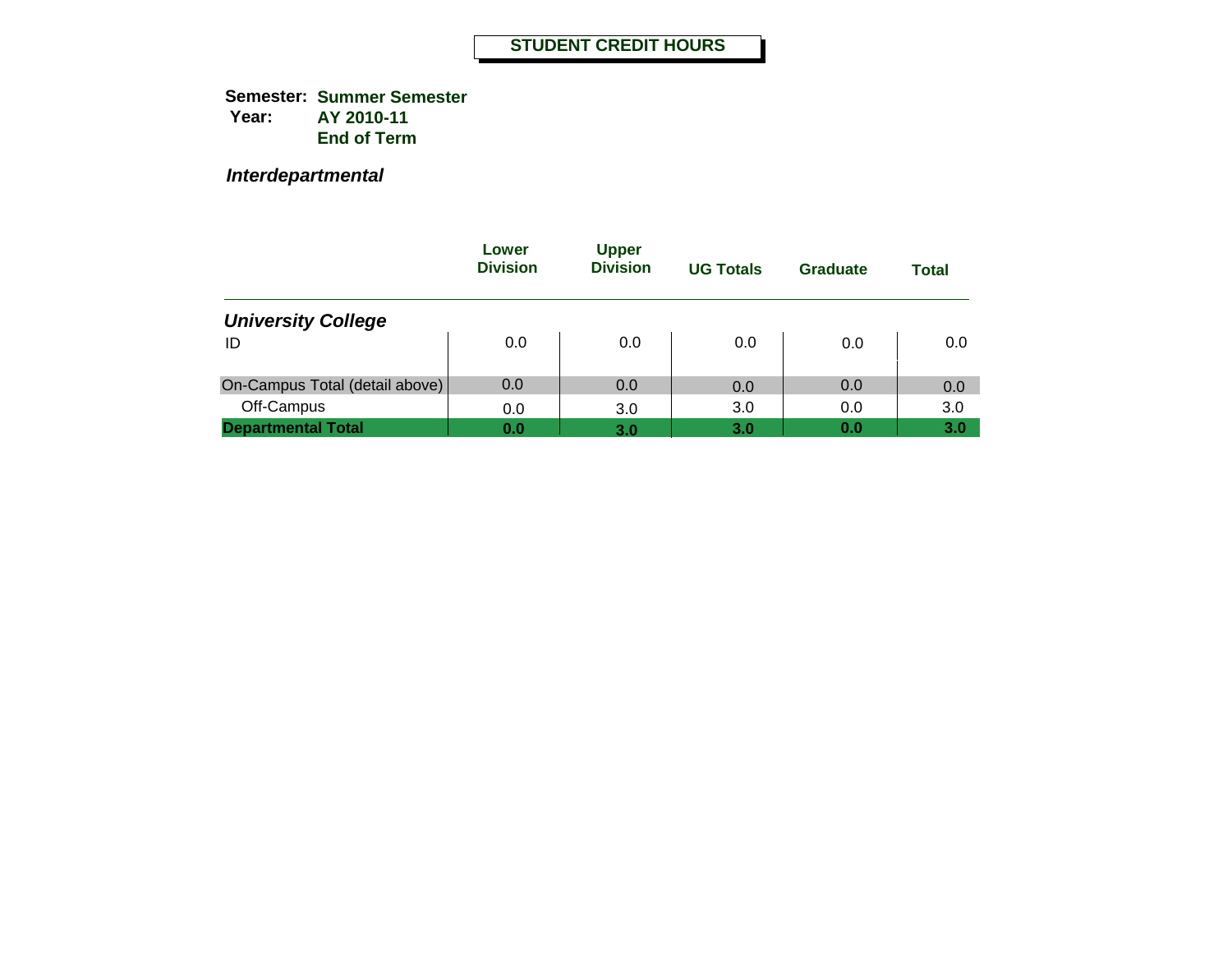**Semester: Summer Semester Year: AY 2010-11 End of Term**

*Interdepartmental*

|                                | Lower<br><b>Division</b> | <b>Upper</b><br><b>Division</b> | <b>UG Totals</b> | Graduate | <b>Total</b> |
|--------------------------------|--------------------------|---------------------------------|------------------|----------|--------------|
| <b>University College</b>      |                          |                                 |                  |          |              |
| ID                             | 0.0                      | 0.0                             | 0.0              | 0.0      | 0.0          |
| On-Campus Total (detail above) | 0.0                      | 0.0                             | 0.0              | 0.0      | 0.0          |
| Off-Campus                     | 0.0                      | 3.0                             | 3.0              | 0.0      | 3.0          |
| <b>Departmental Total</b>      | 0.0                      | 3.0                             | 3.0              | 0.0      | 3.0          |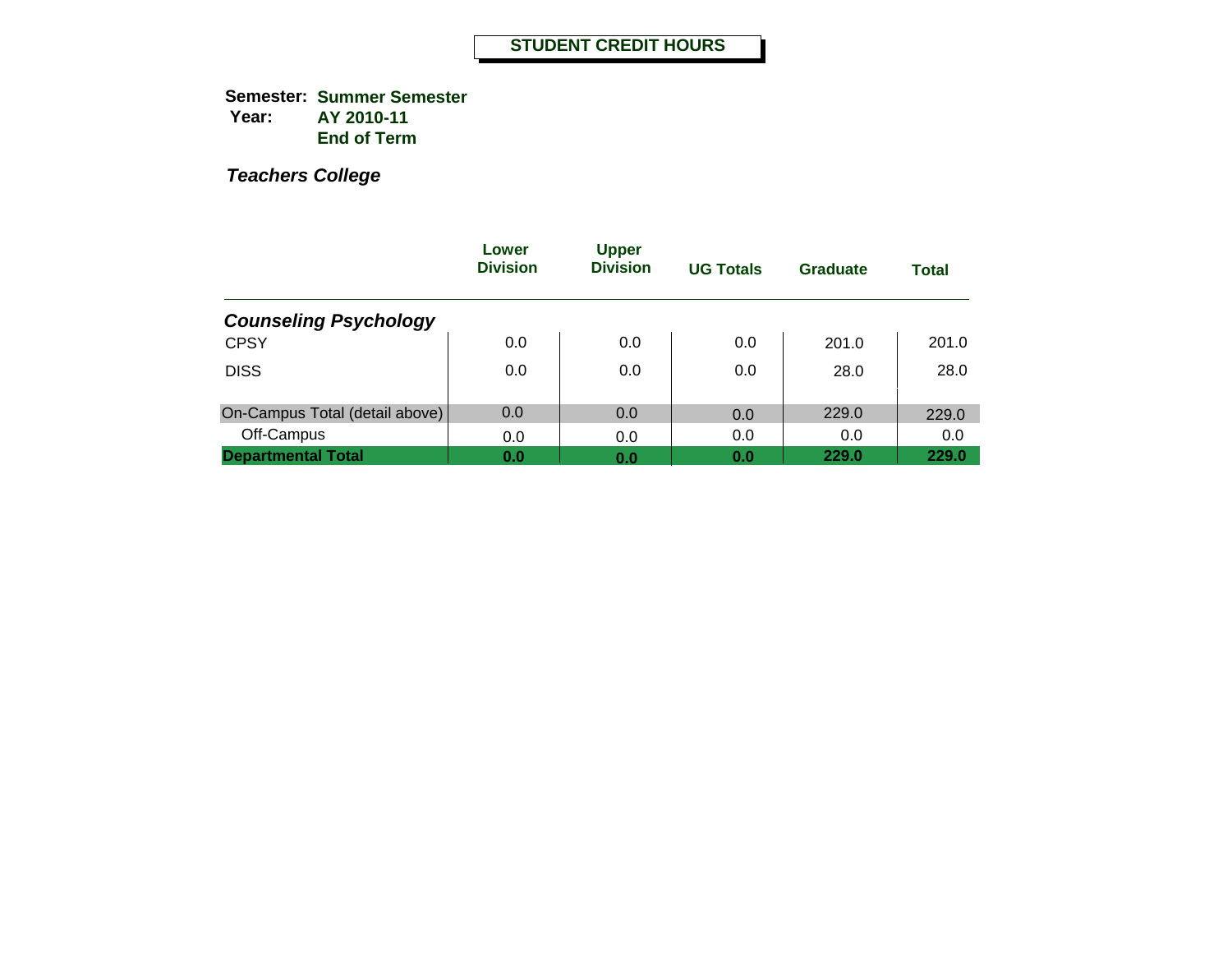**Semester: Summer Semester Year: AY 2010-11 End of Term**

|                                | Lower<br><b>Division</b> | <b>Upper</b><br><b>Division</b> | <b>UG Totals</b> | Graduate | <b>Total</b> |
|--------------------------------|--------------------------|---------------------------------|------------------|----------|--------------|
| <b>Counseling Psychology</b>   |                          |                                 |                  |          |              |
| <b>CPSY</b>                    | 0.0                      | 0.0                             | 0.0              | 201.0    | 201.0        |
| <b>DISS</b>                    | 0.0                      | 0.0                             | 0.0              | 28.0     | 28.0         |
| On-Campus Total (detail above) | 0.0                      | 0.0                             | 0.0              | 229.0    | 229.0        |
| Off-Campus                     | 0.0                      | 0.0                             | 0.0              | 0.0      | 0.0          |
| <b>Departmental Total</b>      | 0.0                      | 0.0                             | 0.0              | 229.0    | 229.0        |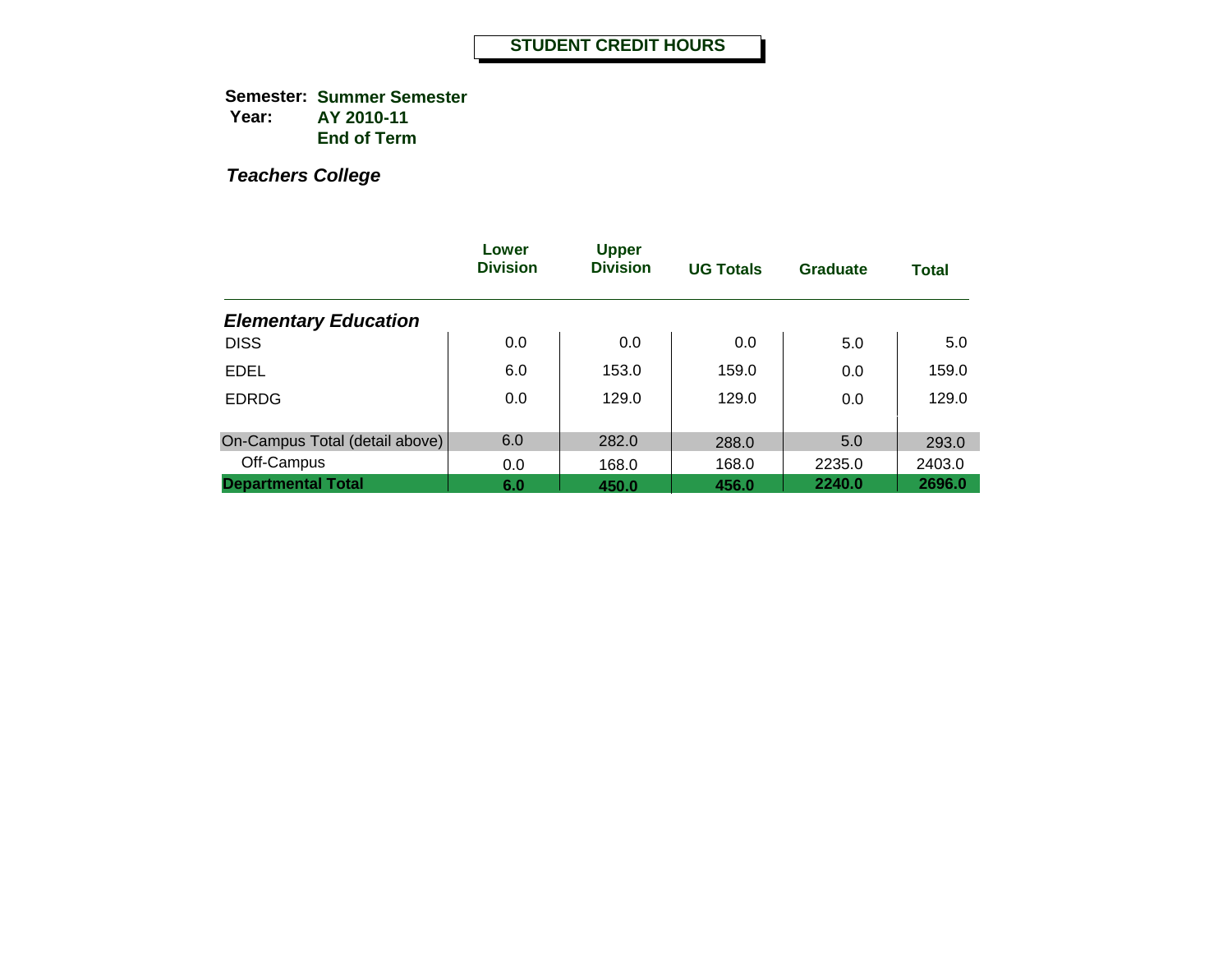**Semester: Summer Semester Year: AY 2010-11 End of Term**

|                                | Lower<br><b>Division</b> | <b>Upper</b><br><b>Division</b> | <b>UG Totals</b> | <b>Graduate</b> | <b>Total</b> |
|--------------------------------|--------------------------|---------------------------------|------------------|-----------------|--------------|
| <b>Elementary Education</b>    |                          |                                 |                  |                 |              |
| <b>DISS</b>                    | 0.0                      | 0.0                             | 0.0              | 5.0             | 5.0          |
| <b>EDEL</b>                    | 6.0                      | 153.0                           | 159.0            | 0.0             | 159.0        |
| <b>EDRDG</b>                   | 0.0                      | 129.0                           | 129.0            | 0.0             | 129.0        |
|                                |                          |                                 |                  |                 |              |
| On-Campus Total (detail above) | 6.0                      | 282.0                           | 288.0            | 5.0             | 293.0        |
| Off-Campus                     | 0.0                      | 168.0                           | 168.0            | 2235.0          | 2403.0       |
| <b>Departmental Total</b>      | 6.0                      | 450.0                           | 456.0            | 2240.0          | 2696.0       |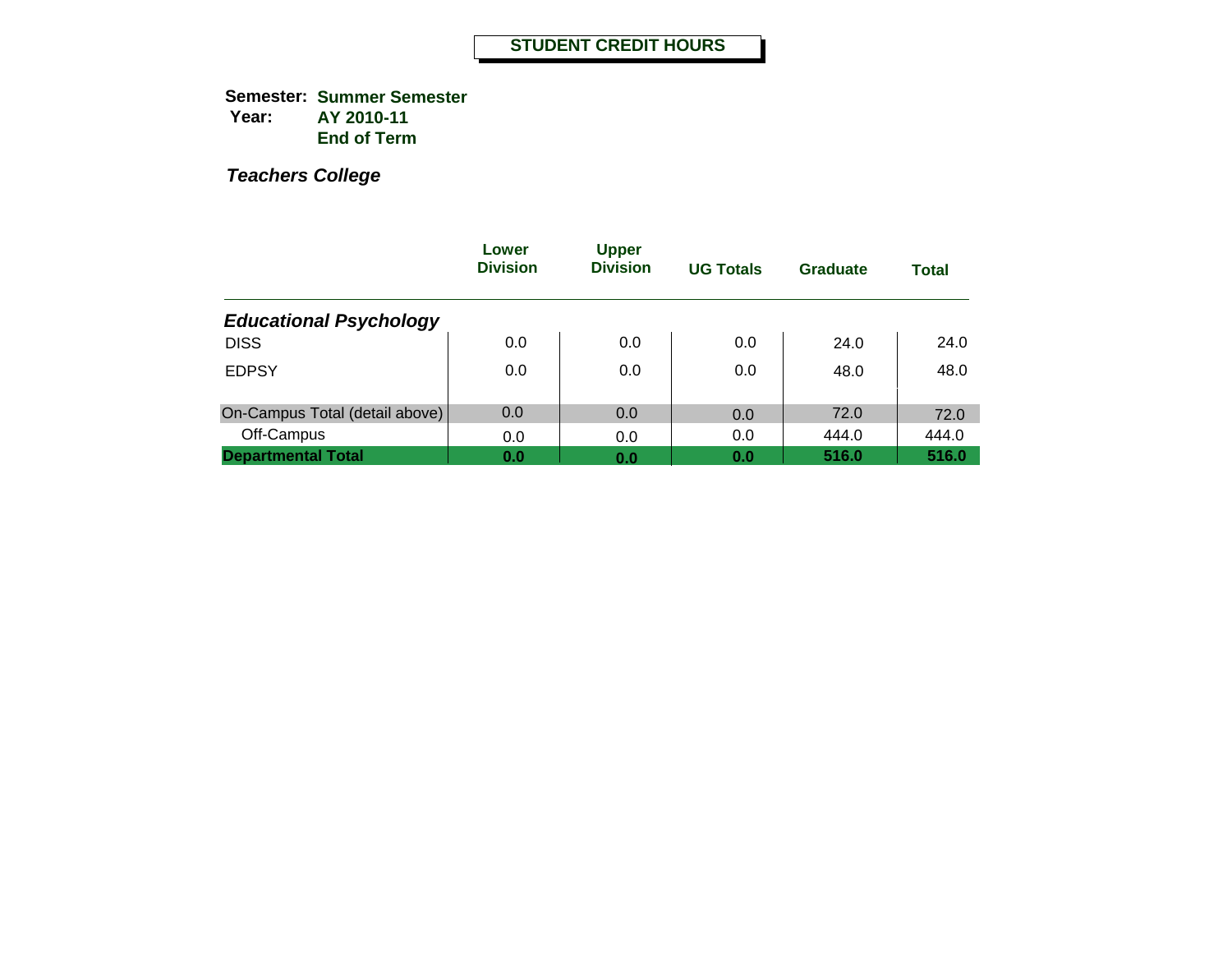**Semester: Summer Semester Year: AY 2010-11 End of Term**

|                                | Lower<br><b>Division</b> | <b>Upper</b><br><b>Division</b> | <b>UG Totals</b> | Graduate | <b>Total</b> |
|--------------------------------|--------------------------|---------------------------------|------------------|----------|--------------|
| <b>Educational Psychology</b>  |                          |                                 |                  |          |              |
| <b>DISS</b>                    | 0.0                      | 0.0                             | 0.0              | 24.0     | 24.0         |
| <b>EDPSY</b>                   | 0.0                      | 0.0                             | 0.0              | 48.0     | 48.0         |
| On-Campus Total (detail above) | 0.0                      | 0.0                             | 0.0              | 72.0     | 72.0         |
| Off-Campus                     | 0.0                      | 0.0                             | 0.0              | 444.0    | 444.0        |
| <b>Departmental Total</b>      | 0.0                      | 0.0                             | 0.0              | 516.0    | 516.0        |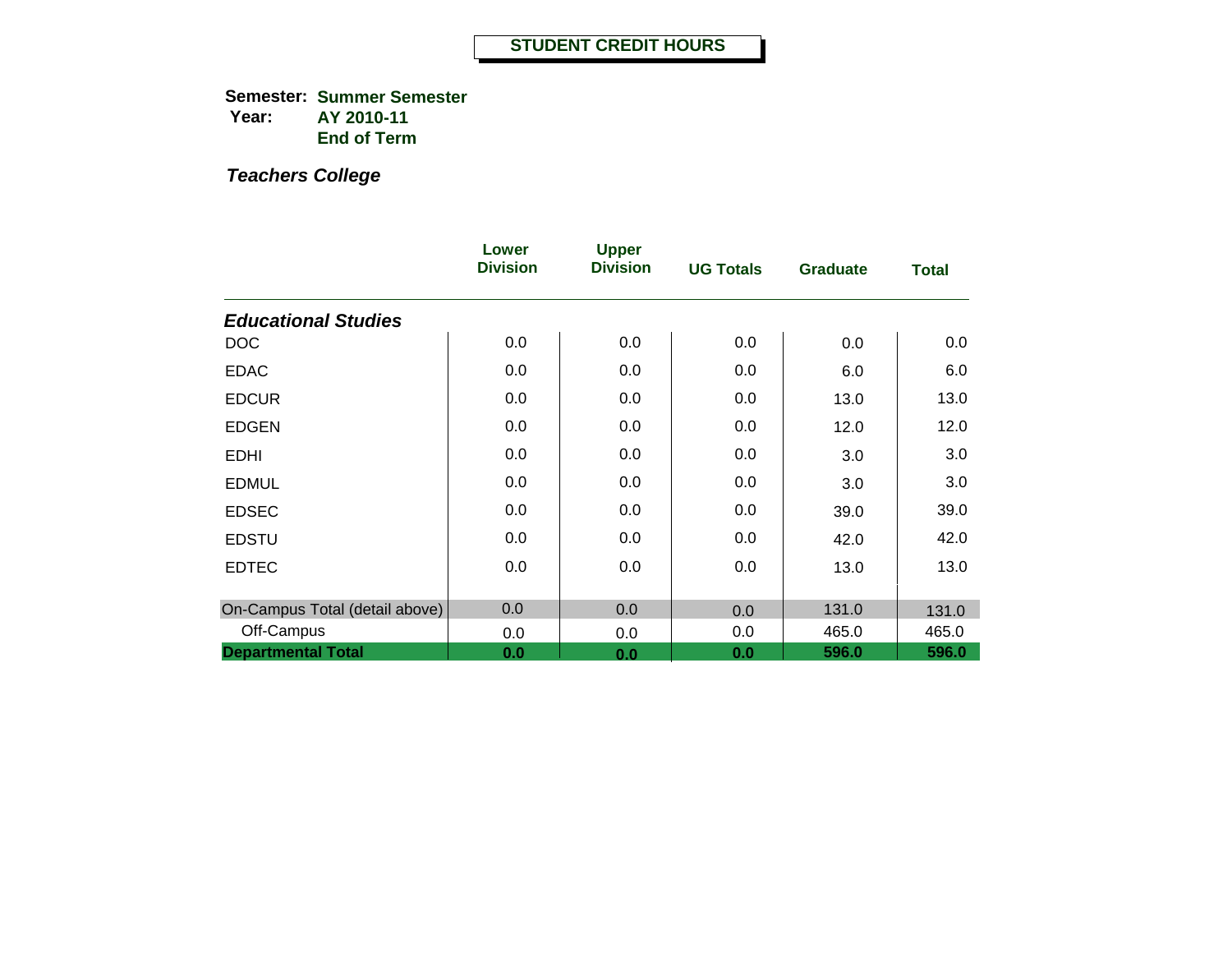**Semester: Summer Semester Year: AY 2010-11 End of Term**

|                                | Lower<br><b>Division</b> | <b>Upper</b><br><b>Division</b> | <b>UG Totals</b> | <b>Graduate</b> | <b>Total</b> |
|--------------------------------|--------------------------|---------------------------------|------------------|-----------------|--------------|
| <b>Educational Studies</b>     |                          |                                 |                  |                 |              |
| <b>DOC</b>                     | 0.0                      | 0.0                             | 0.0              | 0.0             | 0.0          |
| <b>EDAC</b>                    | 0.0                      | 0.0                             | 0.0              | 6.0             | 6.0          |
| <b>EDCUR</b>                   | 0.0                      | 0.0                             | 0.0              | 13.0            | 13.0         |
| <b>EDGEN</b>                   | 0.0                      | 0.0                             | 0.0              | 12.0            | 12.0         |
| <b>EDHI</b>                    | 0.0                      | 0.0                             | 0.0              | 3.0             | 3.0          |
| <b>EDMUL</b>                   | 0.0                      | 0.0                             | 0.0              | 3.0             | 3.0          |
| <b>EDSEC</b>                   | 0.0                      | 0.0                             | 0.0              | 39.0            | 39.0         |
| <b>EDSTU</b>                   | 0.0                      | 0.0                             | 0.0              | 42.0            | 42.0         |
| <b>EDTEC</b>                   | 0.0                      | 0.0                             | 0.0              | 13.0            | 13.0         |
| On-Campus Total (detail above) | 0.0                      | 0.0                             | 0.0              | 131.0           | 131.0        |
| Off-Campus                     | 0.0                      | 0.0                             | 0.0              | 465.0           | 465.0        |
| <b>Departmental Total</b>      | 0.0                      | 0.0                             | 0.0              | 596.0           | 596.0        |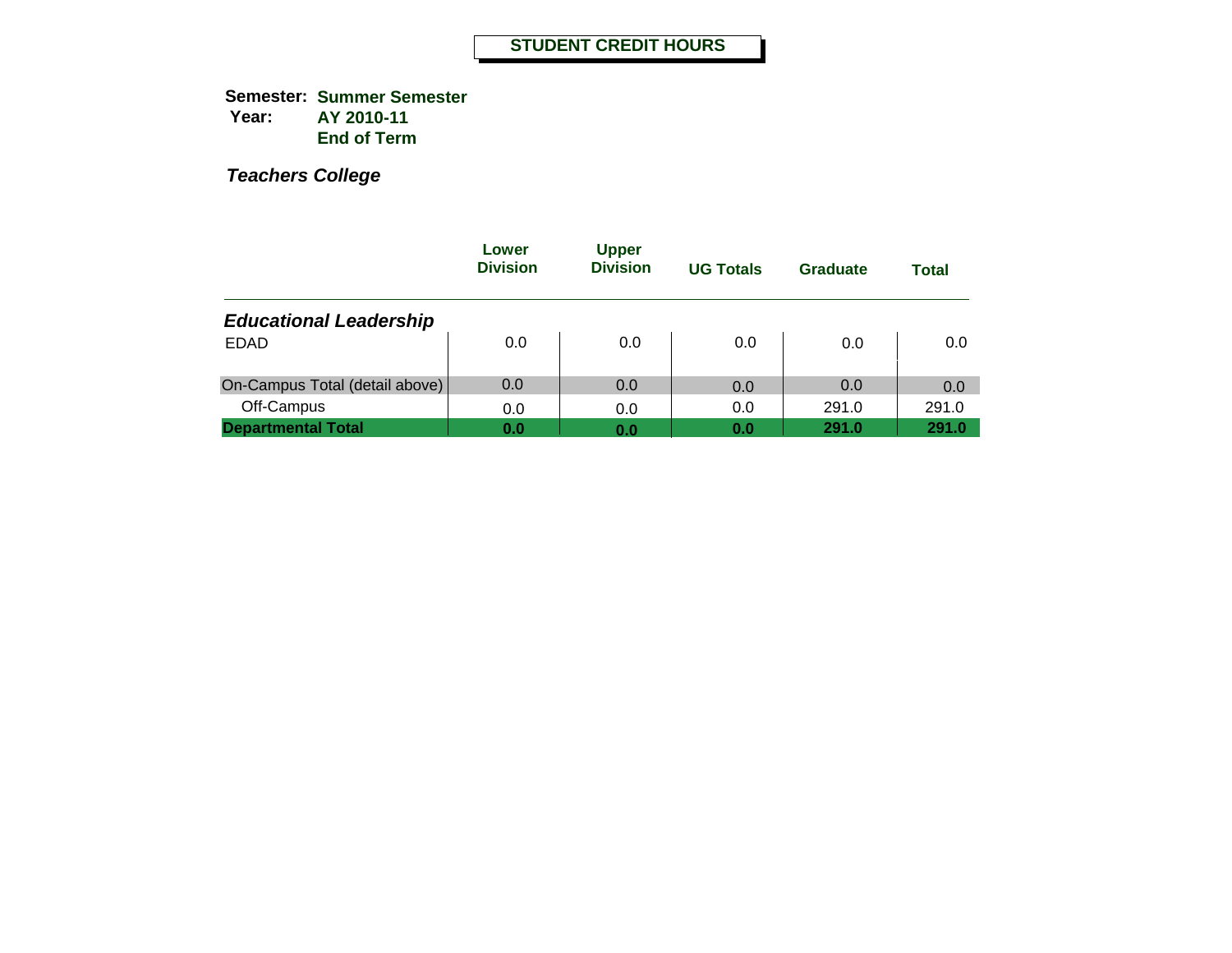**Semester: Summer Semester Year: AY 2010-11 End of Term**

|                                | Lower<br><b>Division</b> | <b>Upper</b><br><b>Division</b> | <b>UG Totals</b> | Graduate | <b>Total</b> |
|--------------------------------|--------------------------|---------------------------------|------------------|----------|--------------|
| <b>Educational Leadership</b>  |                          |                                 |                  |          |              |
| <b>EDAD</b>                    | 0.0                      | 0.0                             | 0.0              | 0.0      | 0.0          |
| On-Campus Total (detail above) | 0.0                      | 0.0                             | 0.0              | 0.0      | 0.0          |
| Off-Campus                     | 0.0                      | 0.0                             | 0.0              | 291.0    | 291.0        |
| <b>Departmental Total</b>      | 0.0                      | 0.0                             | 0.0              | 291.0    | 291.0        |